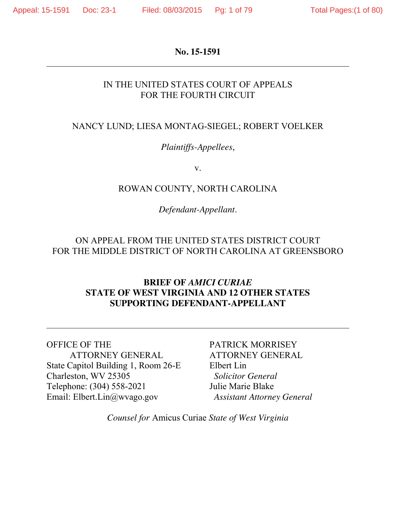#### **No. 15-1591**

## IN THE UNITED STATES COURT OF APPEALS FOR THE FOURTH CIRCUIT

## NANCY LUND; LIESA MONTAG-SIEGEL; ROBERT VOELKER

## *Plaintiffs-Appellees*,

v.

#### ROWAN COUNTY, NORTH CAROLINA

## *Defendant-Appellant*.

## ON APPEAL FROM THE UNITED STATES DISTRICT COURT FOR THE MIDDLE DISTRICT OF NORTH CAROLINA AT GREENSBORO

## **BRIEF OF** *AMICI CURIAE*  **STATE OF WEST VIRGINIA AND 12 OTHER STATES SUPPORTING DEFENDANT-APPELLANT**

OFFICE OF THE ATTORNEY GENERAL State Capitol Building 1, Room 26-E Charleston, WV 25305 Telephone: (304) 558-2021 Email: Elbert.Lin@wvago.gov

PATRICK MORRISEY ATTORNEY GENERAL Elbert Lin  *Solicitor General* Julie Marie Blake  *Assistant Attorney General*

*Counsel for* Amicus Curiae *State of West Virginia*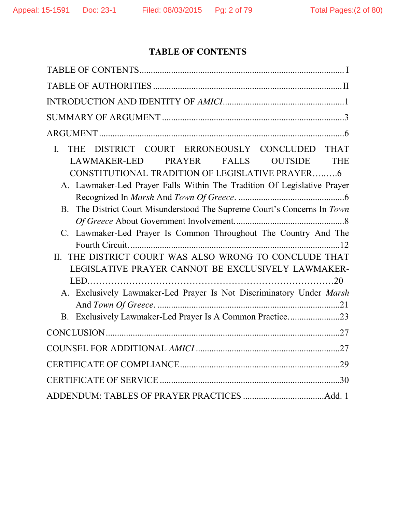# **TABLE OF CONTENTS**

| DISTRICT COURT ERRONEOUSLY CONCLUDED THAT<br>$\mathbf{I}$ .<br><b>THE</b><br>LAWMAKER-LED<br>PRAYER FALLS<br><b>OUTSIDE</b><br><b>THE</b><br>CONSTITUTIONAL TRADITION OF LEGISLATIVE PRAYER6<br>A. Lawmaker-Led Prayer Falls Within The Tradition Of Legislative Prayer<br>B. The District Court Misunderstood The Supreme Court's Concerns In Town<br>C. Lawmaker-Led Prayer Is Common Throughout The Country And The<br>THE DISTRICT COURT WAS ALSO WRONG TO CONCLUDE THAT<br>II.<br>LEGISLATIVE PRAYER CANNOT BE EXCLUSIVELY LAWMAKER- |
|-------------------------------------------------------------------------------------------------------------------------------------------------------------------------------------------------------------------------------------------------------------------------------------------------------------------------------------------------------------------------------------------------------------------------------------------------------------------------------------------------------------------------------------------|
| A. Exclusively Lawmaker-Led Prayer Is Not Discriminatory Under Marsh<br>B. Exclusively Lawmaker-Led Prayer Is A Common Practice23                                                                                                                                                                                                                                                                                                                                                                                                         |
|                                                                                                                                                                                                                                                                                                                                                                                                                                                                                                                                           |
|                                                                                                                                                                                                                                                                                                                                                                                                                                                                                                                                           |
|                                                                                                                                                                                                                                                                                                                                                                                                                                                                                                                                           |
|                                                                                                                                                                                                                                                                                                                                                                                                                                                                                                                                           |
|                                                                                                                                                                                                                                                                                                                                                                                                                                                                                                                                           |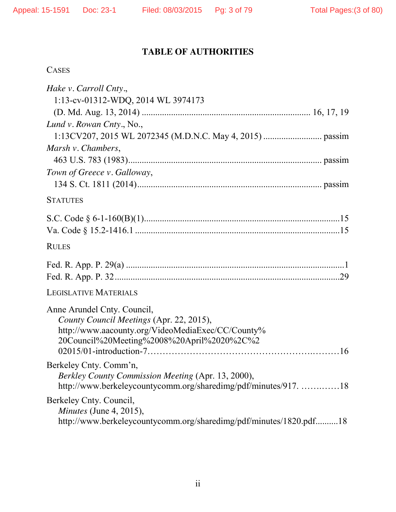# **TABLE OF AUTHORITIES**

| L.<br>د د د ۱<br>т<br>∼ |
|-------------------------|
|-------------------------|

| Hake v. Carroll Cnty.,                                                       |  |
|------------------------------------------------------------------------------|--|
| 1:13-cv-01312-WDQ, 2014 WL 3974173                                           |  |
|                                                                              |  |
| Lund v. Rowan Cnty., No.,                                                    |  |
|                                                                              |  |
| Marsh v. Chambers,                                                           |  |
|                                                                              |  |
| Town of Greece v. Galloway,                                                  |  |
|                                                                              |  |
| <b>STATUTES</b>                                                              |  |
|                                                                              |  |
|                                                                              |  |
| <b>RULES</b>                                                                 |  |
|                                                                              |  |
|                                                                              |  |
| <b>LEGISLATIVE MATERIALS</b>                                                 |  |
| Anne Arundel Cnty. Council,                                                  |  |
| County Council Meetings (Apr. 22, 2015),                                     |  |
| http://www.aacounty.org/VideoMediaExec/CC/County%                            |  |
| 20Council%20Meeting%2008%20April%2020%2C%2                                   |  |
|                                                                              |  |
| Berkeley Cnty. Comm'n,<br>Berkley County Commission Meeting (Apr. 13, 2000), |  |
| http://www.berkeleycountycomm.org/sharedimg/pdf/minutes/917. 18              |  |
| Berkeley Cnty. Council,                                                      |  |
| <i>Minutes</i> (June 4, 2015),                                               |  |
| http://www.berkeleycountycomm.org/sharedimg/pdf/minutes/1820.pdf18           |  |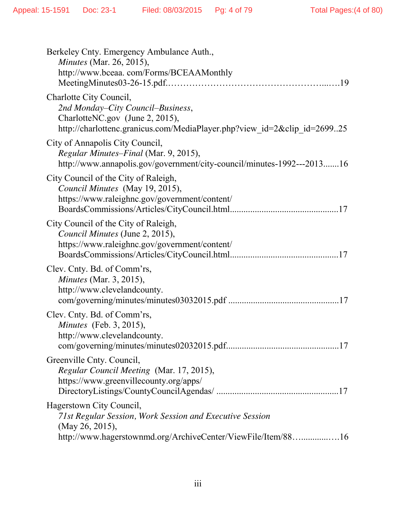| Berkeley Cnty. Emergency Ambulance Auth.,<br><i>Minutes</i> (Mar. 26, 2015),<br>http://www.bceaa.com/Forms/BCEAAMonthly                                                     |
|-----------------------------------------------------------------------------------------------------------------------------------------------------------------------------|
| Charlotte City Council,<br>2nd Monday-City Council-Business,<br>CharlotteNC.gov (June 2, 2015),<br>http://charlottenc.granicus.com/MediaPlayer.php?view_id=2&clip_id=269925 |
| City of Annapolis City Council,<br>Regular Minutes-Final (Mar. 9, 2015),<br>http://www.annapolis.gov/government/city-council/minutes-1992---201316                          |
| City Council of the City of Raleigh,<br>Council Minutes (May 19, 2015),<br>https://www.raleighnc.gov/government/content/                                                    |
| City Council of the City of Raleigh,<br>Council Minutes (June 2, 2015),<br>https://www.raleighnc.gov/government/content/                                                    |
| Clev. Cnty. Bd. of Comm'rs,<br><i>Minutes</i> (Mar. 3, 2015),<br>http://www.clevelandcounty.                                                                                |
| Clev. Cnty. Bd. of Comm'rs,<br><i>Minutes</i> (Feb. 3, 2015),<br>http://www.clevelandcounty.                                                                                |
| Greenville Cnty. Council,<br>Regular Council Meeting (Mar. 17, 2015),<br>https://www.greenvillecounty.org/apps/                                                             |
| Hagerstown City Council,<br>71st Regular Session, Work Session and Executive Session<br>(May 26, 2015),<br>http://www.hagerstownmd.org/ArchiveCenter/ViewFile/Item/8816     |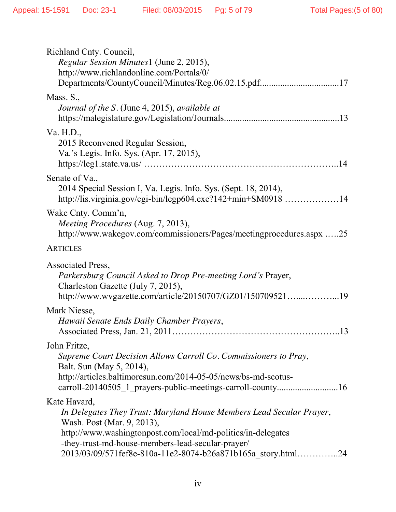| Richland Cnty. Council,<br>Regular Session Minutes1 (June 2, 2015),<br>http://www.richlandonline.com/Portals/0/<br>Departments/CountyCouncil/Minutes/Reg.06.02.15.pdf17                                                                                                                                 |
|---------------------------------------------------------------------------------------------------------------------------------------------------------------------------------------------------------------------------------------------------------------------------------------------------------|
| Mass. S.,<br>Journal of the S. (June 4, 2015), available at                                                                                                                                                                                                                                             |
| Va. H.D.,<br>2015 Reconvened Regular Session,<br>Va.'s Legis. Info. Sys. (Apr. 17, 2015),                                                                                                                                                                                                               |
| Senate of Va.,<br>2014 Special Session I, Va. Legis. Info. Sys. (Sept. 18, 2014),<br>http://lis.virginia.gov/cgi-bin/legp604.exe?142+min+SM0918 14                                                                                                                                                      |
| Wake Cnty. Comm'n,<br>Meeting Procedures (Aug. 7, 2013),<br>http://www.wakegov.com/commissioners/Pages/meetingprocedures.aspx 25                                                                                                                                                                        |
| <b>ARTICLES</b>                                                                                                                                                                                                                                                                                         |
| Associated Press,<br>Parkersburg Council Asked to Drop Pre-meeting Lord's Prayer,<br>Charleston Gazette (July 7, 2015),<br>http://www.wvgazette.com/article/20150707/GZ01/15070952119                                                                                                                   |
| Mark Niesse,<br>Hawaii Senate Ends Daily Chamber Prayers,                                                                                                                                                                                                                                               |
| John Fritze,                                                                                                                                                                                                                                                                                            |
| Supreme Court Decision Allows Carroll Co. Commissioners to Pray,<br>Balt. Sun (May 5, 2014),<br>http://articles.baltimoresun.com/2014-05-05/news/bs-md-scotus-                                                                                                                                          |
| Kate Havard,<br>In Delegates They Trust: Maryland House Members Lead Secular Prayer,<br>Wash. Post (Mar. 9, 2013),<br>http://www.washingtonpost.com/local/md-politics/in-delegates<br>-they-trust-md-house-members-lead-secular-prayer/<br>2013/03/09/571fef8e-810a-11e2-8074-b26a871b165a story.html24 |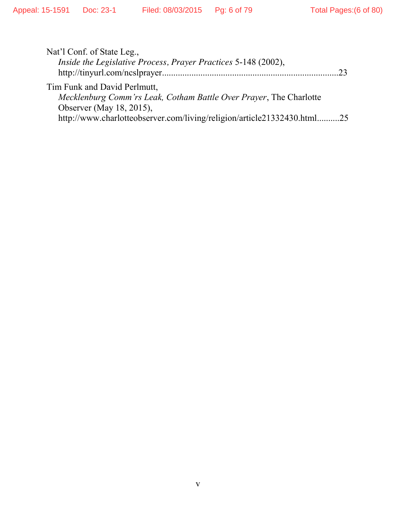| Nat'l Conf. of State Leg.,                                              |    |
|-------------------------------------------------------------------------|----|
| <i>Inside the Legislative Process, Prayer Practices 5-148 (2002),</i>   |    |
|                                                                         | つく |
| Tim Funk and David Perlmutt,                                            |    |
| Mecklenburg Comm'rs Leak, Cotham Battle Over Prayer, The Charlotte      |    |
| Observer (May 18, 2015),                                                |    |
| http://www.charlotteobserver.com/living/religion/article21332430.html25 |    |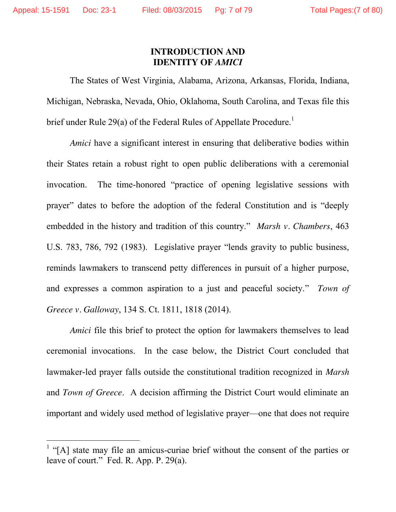#### **INTRODUCTION AND IDENTITY OF** *AMICI*

The States of West Virginia, Alabama, Arizona, Arkansas, Florida, Indiana, Michigan, Nebraska, Nevada, Ohio, Oklahoma, South Carolina, and Texas file this brief under Rule 29(a) of the Federal Rules of Appellate Procedure.<sup>1</sup>

*Amici* have a significant interest in ensuring that deliberative bodies within their States retain a robust right to open public deliberations with a ceremonial invocation. The time-honored "practice of opening legislative sessions with prayer" dates to before the adoption of the federal Constitution and is "deeply embedded in the history and tradition of this country." *Marsh v. Chambers*, 463 U.S. 783, 786, 792 (1983). Legislative prayer "lends gravity to public business, reminds lawmakers to transcend petty differences in pursuit of a higher purpose, and expresses a common aspiration to a just and peaceful society." *Town of Greece v. Galloway*, 134 S. Ct. 1811, 1818 (2014).

*Amici* file this brief to protect the option for lawmakers themselves to lead ceremonial invocations. In the case below, the District Court concluded that lawmaker-led prayer falls outside the constitutional tradition recognized in *Marsh*  and *Town of Greece*. A decision affirming the District Court would eliminate an important and widely used method of legislative prayer—one that does not require

<sup>&</sup>lt;sup>1</sup> "[A] state may file an amicus-curiae brief without the consent of the parties or leave of court." Fed. R. App. P. 29(a).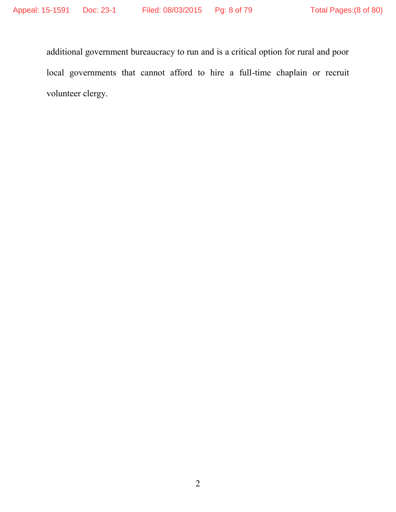additional government bureaucracy to run and is a critical option for rural and poor local governments that cannot afford to hire a full-time chaplain or recruit volunteer clergy.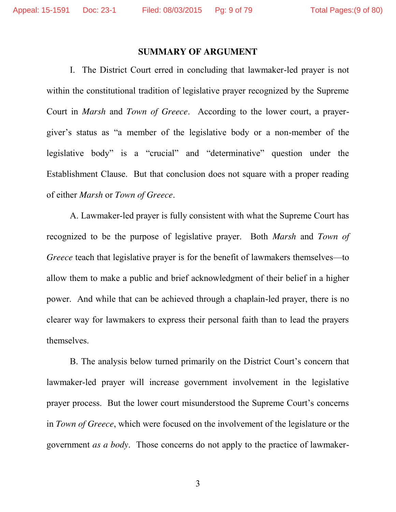#### **SUMMARY OF ARGUMENT**

I. The District Court erred in concluding that lawmaker-led prayer is not within the constitutional tradition of legislative prayer recognized by the Supreme Court in *Marsh* and *Town of Greece*. According to the lower court, a prayergiver's status as "a member of the legislative body or a non-member of the legislative body" is a "crucial" and "determinative" question under the Establishment Clause. But that conclusion does not square with a proper reading of either *Marsh* or *Town of Greece*.

A. Lawmaker-led prayer is fully consistent with what the Supreme Court has recognized to be the purpose of legislative prayer. Both *Marsh* and *Town of Greece* teach that legislative prayer is for the benefit of lawmakers themselves—to allow them to make a public and brief acknowledgment of their belief in a higher power. And while that can be achieved through a chaplain-led prayer, there is no clearer way for lawmakers to express their personal faith than to lead the prayers themselves.

B. The analysis below turned primarily on the District Court's concern that lawmaker-led prayer will increase government involvement in the legislative prayer process. But the lower court misunderstood the Supreme Court's concerns in *Town of Greece*, which were focused on the involvement of the legislature or the government *as a body*. Those concerns do not apply to the practice of lawmaker-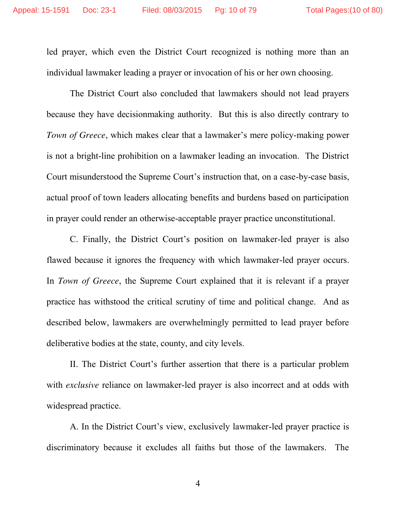led prayer, which even the District Court recognized is nothing more than an individual lawmaker leading a prayer or invocation of his or her own choosing.

The District Court also concluded that lawmakers should not lead prayers because they have decisionmaking authority. But this is also directly contrary to *Town of Greece*, which makes clear that a lawmaker's mere policy-making power is not a bright-line prohibition on a lawmaker leading an invocation. The District Court misunderstood the Supreme Court's instruction that, on a case-by-case basis, actual proof of town leaders allocating benefits and burdens based on participation in prayer could render an otherwise-acceptable prayer practice unconstitutional.

C. Finally, the District Court's position on lawmaker-led prayer is also flawed because it ignores the frequency with which lawmaker-led prayer occurs. In *Town of Greece*, the Supreme Court explained that it is relevant if a prayer practice has withstood the critical scrutiny of time and political change.And as described below, lawmakers are overwhelmingly permitted to lead prayer before deliberative bodies at the state, county, and city levels.

II. The District Court's further assertion that there is a particular problem with *exclusive* reliance on lawmaker-led prayer is also incorrect and at odds with widespread practice.

A. In the District Court's view, exclusively lawmaker-led prayer practice is discriminatory because it excludes all faiths but those of the lawmakers. The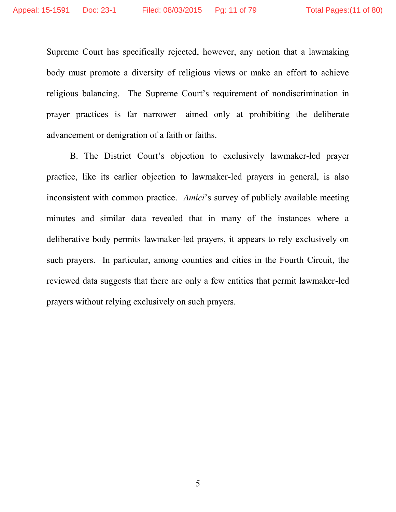Supreme Court has specifically rejected, however, any notion that a lawmaking body must promote a diversity of religious views or make an effort to achieve religious balancing. The Supreme Court's requirement of nondiscrimination in prayer practices is far narrower—aimed only at prohibiting the deliberate advancement or denigration of a faith or faiths.

B. The District Court's objection to exclusively lawmaker-led prayer practice, like its earlier objection to lawmaker-led prayers in general, is also inconsistent with common practice. *Amici*'s survey of publicly available meeting minutes and similar data revealed that in many of the instances where a deliberative body permits lawmaker-led prayers, it appears to rely exclusively on such prayers. In particular, among counties and cities in the Fourth Circuit, the reviewed data suggests that there are only a few entities that permit lawmaker-led prayers without relying exclusively on such prayers.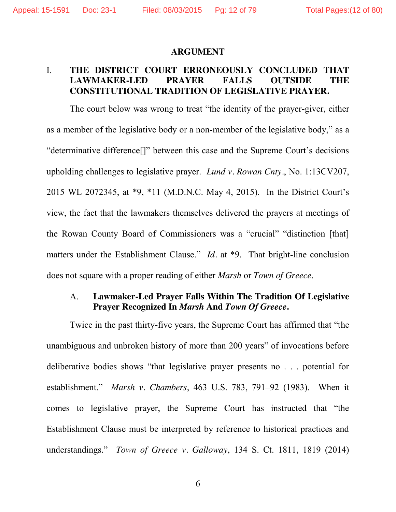#### **ARGUMENT**

## I. **THE DISTRICT COURT ERRONEOUSLY CONCLUDED THAT LAWMAKER-LED PRAYER FALLS OUTSIDE THE CONSTITUTIONAL TRADITION OF LEGISLATIVE PRAYER.**

The court below was wrong to treat "the identity of the prayer-giver, either as a member of the legislative body or a non-member of the legislative body," as a "determinative difference[]" between this case and the Supreme Court's decisions upholding challenges to legislative prayer. *Lund v. Rowan Cnty.*, No. 1:13CV207, 2015 WL 2072345, at \*9, \*11 (M.D.N.C. May 4, 2015). In the District Court's view, the fact that the lawmakers themselves delivered the prayers at meetings of the Rowan County Board of Commissioners was a "crucial" "distinction [that] matters under the Establishment Clause." *Id.* at \*9. That bright-line conclusion does not square with a proper reading of either *Marsh* or *Town of Greece*.

## A. **Lawmaker-Led Prayer Falls Within The Tradition Of Legislative Prayer Recognized In** *Marsh* **And** *Town Of Greece***.**

Twice in the past thirty-five years, the Supreme Court has affirmed that "the unambiguous and unbroken history of more than 200 years" of invocations before deliberative bodies shows "that legislative prayer presents no . . . potential for establishment." *Marsh v. Chambers*, 463 U.S. 783, 791–92 (1983). When it comes to legislative prayer, the Supreme Court has instructed that "the Establishment Clause must be interpreted by reference to historical practices and understandings." *Town of Greece v. Galloway*, 134 S. Ct. 1811, 1819 (2014)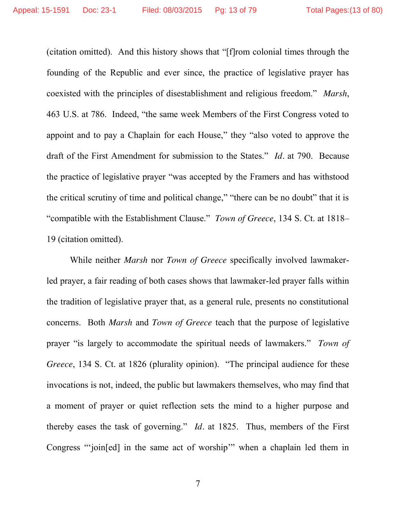(citation omitted). And this history shows that "[f]rom colonial times through the founding of the Republic and ever since, the practice of legislative prayer has coexisted with the principles of disestablishment and religious freedom." *Marsh*, 463 U.S. at 786. Indeed, "the same week Members of the First Congress voted to appoint and to pay a Chaplain for each House," they "also voted to approve the draft of the First Amendment for submission to the States." *Id.* at 790. Because the practice of legislative prayer "was accepted by the Framers and has withstood the critical scrutiny of time and political change," "there can be no doubt" that it is "compatible with the Establishment Clause." *Town of Greece*, 134 S. Ct. at 1818– 19 (citation omitted).

While neither *Marsh* nor *Town of Greece* specifically involved lawmakerled prayer, a fair reading of both cases shows that lawmaker-led prayer falls within the tradition of legislative prayer that, as a general rule, presents no constitutional concerns. Both *Marsh* and *Town of Greece* teach that the purpose of legislative prayer "is largely to accommodate the spiritual needs of lawmakers." *Town of Greece*, 134 S. Ct. at 1826 (plurality opinion). "The principal audience for these invocations is not, indeed, the public but lawmakers themselves, who may find that a moment of prayer or quiet reflection sets the mind to a higher purpose and thereby eases the task of governing." *Id.* at 1825. Thus, members of the First Congress "'join[ed] in the same act of worship'" when a chaplain led them in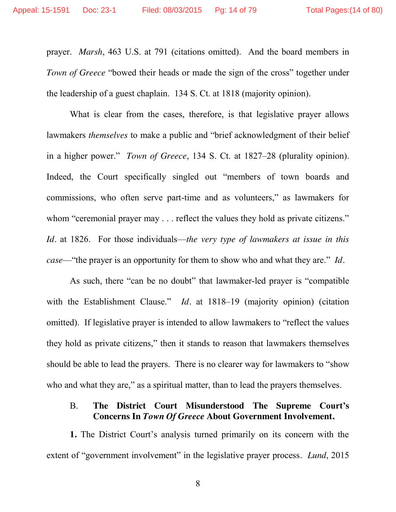prayer. *Marsh*, 463 U.S. at 791 (citations omitted). And the board members in *Town of Greece* "bowed their heads or made the sign of the cross" together under the leadership of a guest chaplain. 134 S. Ct. at 1818 (majority opinion).

What is clear from the cases, therefore, is that legislative prayer allows lawmakers *themselves* to make a public and "brief acknowledgment of their belief in a higher power." *Town of Greece*, 134 S. Ct. at 1827–28 (plurality opinion). Indeed, the Court specifically singled out "members of town boards and commissions, who often serve part-time and as volunteers," as lawmakers for whom "ceremonial prayer may . . . reflect the values they hold as private citizens." *Id.* at 1826. For those individuals—*the very type of lawmakers at issue in this case*—"the prayer is an opportunity for them to show who and what they are." *Id.*

As such, there "can be no doubt" that lawmaker-led prayer is "compatible with the Establishment Clause." *Id.* at 1818–19 (majority opinion) (citation omitted). If legislative prayer is intended to allow lawmakers to "reflect the values they hold as private citizens," then it stands to reason that lawmakers themselves should be able to lead the prayers. There is no clearer way for lawmakers to "show who and what they are," as a spiritual matter, than to lead the prayers themselves.

## B. **The District Court Misunderstood The Supreme Court's Concerns In** *Town Of Greece* **About Government Involvement.**

**1.** The District Court's analysis turned primarily on its concern with the extent of "government involvement" in the legislative prayer process. *Lund*, 2015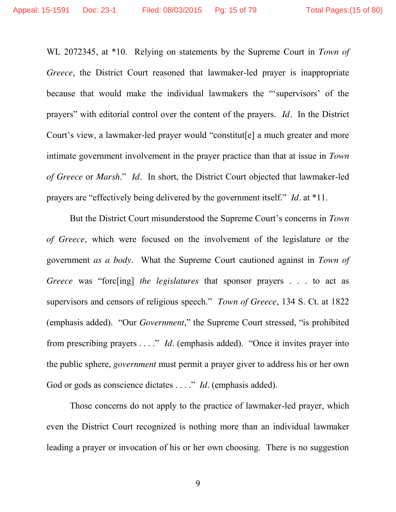WL 2072345, at \*10. Relying on statements by the Supreme Court in *Town of Greece*, the District Court reasoned that lawmaker-led prayer is inappropriate because that would make the individual lawmakers the "'supervisors' of the prayers" with editorial control over the content of the prayers. *Id.* In the District Court's view, a lawmaker-led prayer would "constitut[e] a much greater and more intimate government involvement in the prayer practice than that at issue in *Town of Greece* or *Marsh*." *Id.* In short, the District Court objected that lawmaker-led prayers are "effectively being delivered by the government itself." *Id.* at \*11.

But the District Court misunderstood the Supreme Court's concerns in *Town of Greece*, which were focused on the involvement of the legislature or the government *as a body*. What the Supreme Court cautioned against in *Town of Greece* was "forc[ing] *the legislatures* that sponsor prayers . . . to act as supervisors and censors of religious speech." *Town of Greece*, 134 S. Ct. at 1822 (emphasis added). "Our *Government*," the Supreme Court stressed, "is prohibited from prescribing prayers . . . ." *Id.* (emphasis added). "Once it invites prayer into the public sphere, *government* must permit a prayer giver to address his or her own God or gods as conscience dictates . . . ." *Id.* (emphasis added).

Those concerns do not apply to the practice of lawmaker-led prayer, which even the District Court recognized is nothing more than an individual lawmaker leading a prayer or invocation of his or her own choosing. There is no suggestion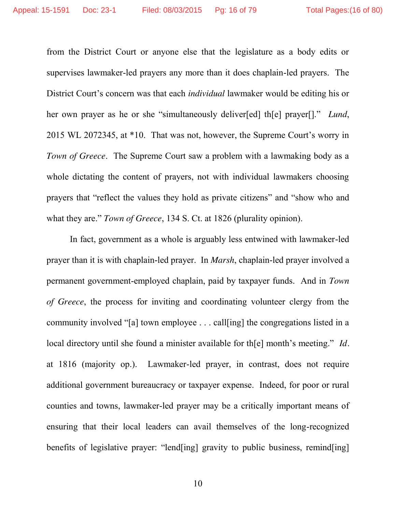from the District Court or anyone else that the legislature as a body edits or supervises lawmaker-led prayers any more than it does chaplain-led prayers. The District Court's concern was that each *individual* lawmaker would be editing his or her own prayer as he or she "simultaneously deliver[ed] th[e] prayer[]." *Lund*, 2015 WL 2072345, at \*10. That was not, however, the Supreme Court's worry in *Town of Greece*. The Supreme Court saw a problem with a lawmaking body as a whole dictating the content of prayers, not with individual lawmakers choosing prayers that "reflect the values they hold as private citizens" and "show who and what they are." *Town of Greece*, 134 S. Ct. at 1826 (plurality opinion).

In fact, government as a whole is arguably less entwined with lawmaker-led prayer than it is with chaplain-led prayer. In *Marsh*, chaplain-led prayer involved a permanent government-employed chaplain, paid by taxpayer funds. And in *Town of Greece*, the process for inviting and coordinating volunteer clergy from the community involved "[a] town employee . . . call[ing] the congregations listed in a local directory until she found a minister available for th[e] month's meeting." *Id.*  at 1816 (majority op.). Lawmaker-led prayer, in contrast, does not require additional government bureaucracy or taxpayer expense. Indeed, for poor or rural counties and towns, lawmaker-led prayer may be a critically important means of ensuring that their local leaders can avail themselves of the long-recognized benefits of legislative prayer: "lend[ing] gravity to public business, remind[ing]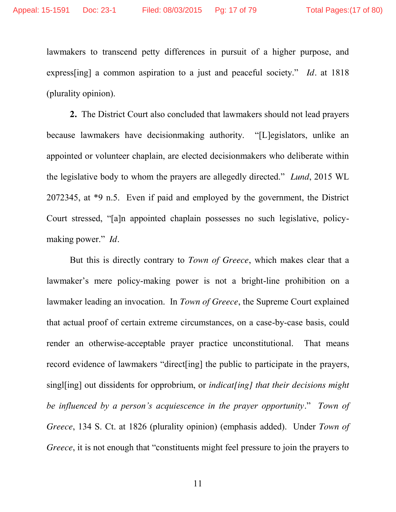lawmakers to transcend petty differences in pursuit of a higher purpose, and express[ing] a common aspiration to a just and peaceful society." *Id.* at 1818 (plurality opinion).

**2.** The District Court also concluded that lawmakers should not lead prayers because lawmakers have decisionmaking authority. "[L]egislators, unlike an appointed or volunteer chaplain, are elected decisionmakers who deliberate within the legislative body to whom the prayers are allegedly directed." *Lund*, 2015 WL 2072345, at \*9 n.5. Even if paid and employed by the government, the District Court stressed, "[a]n appointed chaplain possesses no such legislative, policymaking power." *Id.*

But this is directly contrary to *Town of Greece*, which makes clear that a lawmaker's mere policy-making power is not a bright-line prohibition on a lawmaker leading an invocation. In *Town of Greece*, the Supreme Court explained that actual proof of certain extreme circumstances, on a case-by-case basis, could render an otherwise-acceptable prayer practice unconstitutional. That means record evidence of lawmakers "direct[ing] the public to participate in the prayers, singl[ing] out dissidents for opprobrium, or *indicat[ing] that their decisions might be influenced by a person's acquiescence in the prayer opportunity*." *Town of Greece*, 134 S. Ct. at 1826 (plurality opinion) (emphasis added). Under *Town of Greece*, it is not enough that "constituents might feel pressure to join the prayers to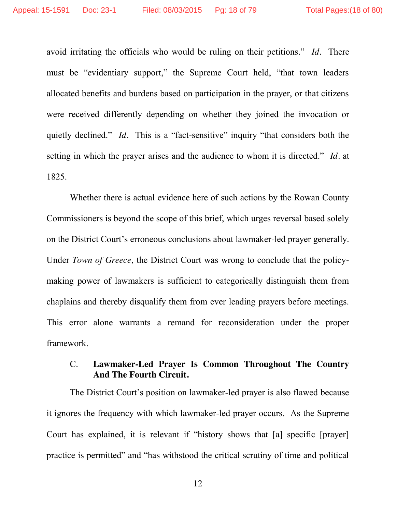avoid irritating the officials who would be ruling on their petitions." *Id.* There must be "evidentiary support," the Supreme Court held, "that town leaders allocated benefits and burdens based on participation in the prayer, or that citizens were received differently depending on whether they joined the invocation or quietly declined." *Id.* This is a "fact-sensitive" inquiry "that considers both the setting in which the prayer arises and the audience to whom it is directed." *Id.* at 1825.

Whether there is actual evidence here of such actions by the Rowan County Commissioners is beyond the scope of this brief, which urges reversal based solely on the District Court's erroneous conclusions about lawmaker-led prayer generally. Under *Town of Greece*, the District Court was wrong to conclude that the policymaking power of lawmakers is sufficient to categorically distinguish them from chaplains and thereby disqualify them from ever leading prayers before meetings. This error alone warrants a remand for reconsideration under the proper framework.

## C. **Lawmaker-Led Prayer Is Common Throughout The Country And The Fourth Circuit.**

The District Court's position on lawmaker-led prayer is also flawed because it ignores the frequency with which lawmaker-led prayer occurs. As the Supreme Court has explained, it is relevant if "history shows that [a] specific [prayer] practice is permitted" and "has withstood the critical scrutiny of time and political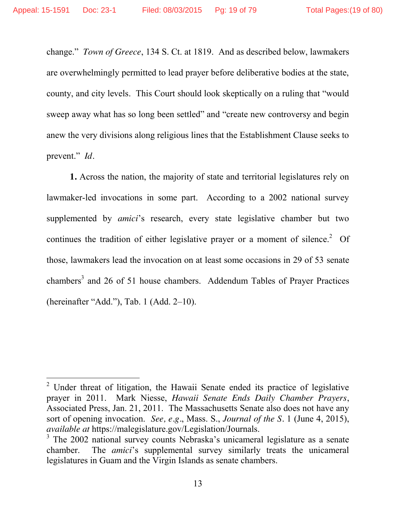change." *Town of Greece*, 134 S. Ct. at 1819.And as described below, lawmakers are overwhelmingly permitted to lead prayer before deliberative bodies at the state, county, and city levels. This Court should look skeptically on a ruling that "would sweep away what has so long been settled" and "create new controversy and begin anew the very divisions along religious lines that the Establishment Clause seeks to prevent." *Id.*

**1.** Across the nation, the majority of state and territorial legislatures rely on lawmaker-led invocations in some part. According to a 2002 national survey supplemented by *amici*'s research, every state legislative chamber but two continues the tradition of either legislative prayer or a moment of silence.<sup>2</sup> Of those, lawmakers lead the invocation on at least some occasions in 29 of 53 senate chambers<sup>3</sup> and 26 of 51 house chambers. Addendum Tables of Prayer Practices (hereinafter "Add."), Tab. 1 (Add. 2–10).

<sup>&</sup>lt;sup>2</sup> Under threat of litigation, the Hawaii Senate ended its practice of legislative prayer in 2011. Mark Niesse, *Hawaii Senate Ends Daily Chamber Prayers*, Associated Press, Jan. 21, 2011. The Massachusetts Senate also does not have any sort of opening invocation. *See, e.g.*, Mass. S., *Journal of the S.* 1 (June 4, 2015), *available at* https://malegislature.gov/Legislation/Journals.

<sup>&</sup>lt;sup>3</sup> The 2002 national survey counts Nebraska's unicameral legislature as a senate chamber. The *amici*'s supplemental survey similarly treats the unicameral legislatures in Guam and the Virgin Islands as senate chambers.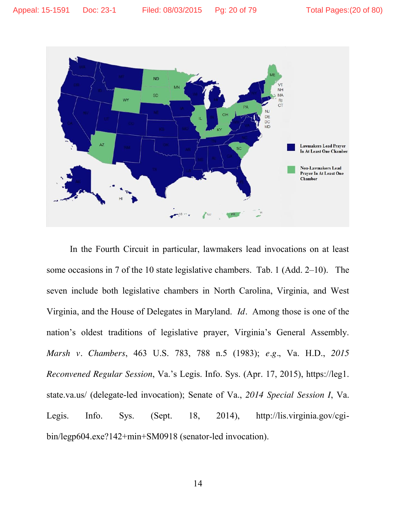

In the Fourth Circuit in particular, lawmakers lead invocations on at least some occasions in 7 of the 10 state legislative chambers. Tab. 1 (Add. 2–10). The seven include both legislative chambers in North Carolina, Virginia, and West Virginia, and the House of Delegates in Maryland. *Id.* Among those is one of the nation's oldest traditions of legislative prayer, Virginia's General Assembly. *Marsh v. Chambers*, 463 U.S. 783, 788 n.5 (1983); *e.g.*, Va. H.D., *2015 Reconvened Regular Session*, Va.'s Legis. Info. Sys. (Apr. 17, 2015), https://leg1. state.va.us/ (delegate-led invocation); Senate of Va., *2014 Special Session I*, Va. Legis. Info. Sys. (Sept. 18, 2014), http://lis.virginia.gov/cgibin/legp604.exe?142+min+SM0918 (senator-led invocation).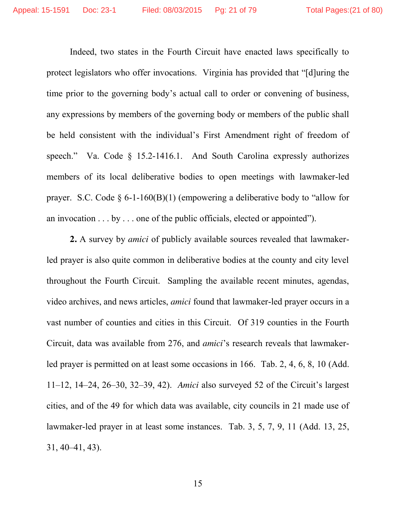Indeed, two states in the Fourth Circuit have enacted laws specifically to protect legislators who offer invocations. Virginia has provided that "[d]uring the time prior to the governing body's actual call to order or convening of business, any expressions by members of the governing body or members of the public shall be held consistent with the individual's First Amendment right of freedom of speech." Va. Code § 15.2-1416.1. And South Carolina expressly authorizes members of its local deliberative bodies to open meetings with lawmaker-led prayer. S.C. Code  $\S$  6-1-160(B)(1) (empowering a deliberative body to "allow for an invocation . . . by . . . one of the public officials, elected or appointed").

**2.** A survey by *amici* of publicly available sources revealed that lawmakerled prayer is also quite common in deliberative bodies at the county and city level throughout the Fourth Circuit. Sampling the available recent minutes, agendas, video archives, and news articles, *amici* found that lawmaker-led prayer occurs in a vast number of counties and cities in this Circuit. Of 319 counties in the Fourth Circuit, data was available from 276, and *amici*'s research reveals that lawmakerled prayer is permitted on at least some occasions in 166. Tab. 2, 4, 6, 8, 10 (Add. 11–12, 14–24, 26–30, 32–39, 42). *Amici* also surveyed 52 of the Circuit's largest cities, and of the 49 for which data was available, city councils in 21 made use of lawmaker-led prayer in at least some instances. Tab. 3, 5, 7, 9, 11 (Add. 13, 25, 31, 40–41, 43).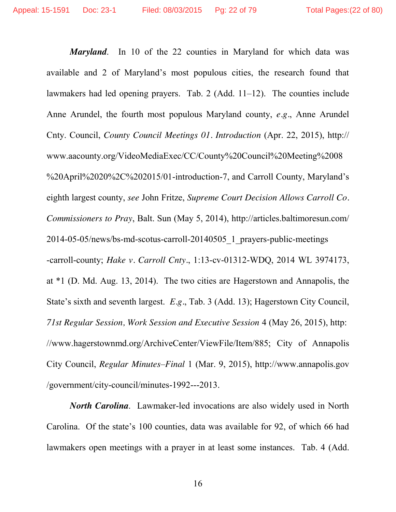*Maryland*.In 10 of the 22 counties in Maryland for which data was available and 2 of Maryland's most populous cities, the research found that lawmakers had led opening prayers. Tab. 2 (Add. 11–12). The counties include Anne Arundel, the fourth most populous Maryland county, *e.g.*, Anne Arundel Cnty. Council, *County Council Meetings 01. Introduction* (Apr. 22, 2015), http:// www.aacounty.org/VideoMediaExec/CC/County%20Council%20Meeting%2008 %20April%2020%2C%202015/01-introduction-7, and Carroll County, Maryland's eighth largest county, *see* John Fritze, *Supreme Court Decision Allows Carroll Co. Commissioners to Pray*, Balt. Sun (May 5, 2014), http://articles.baltimoresun.com/ 2014-05-05/news/bs-md-scotus-carroll-20140505\_1\_prayers-public-meetings -carroll-county; *Hake v. Carroll Cnty.*, 1:13-cv-01312-WDQ, 2014 WL 3974173, at \*1 (D. Md. Aug. 13, 2014). The two cities are Hagerstown and Annapolis, the State's sixth and seventh largest. *E.g.*, Tab. 3 (Add. 13); Hagerstown City Council, *71st Regular Session, Work Session and Executive Session* 4 (May 26, 2015), http: //www.hagerstownmd.org/ArchiveCenter/ViewFile/Item/885; City of Annapolis City Council, *Regular Minutes–Final* 1 (Mar. 9, 2015), http://www.annapolis.gov /government/city-council/minutes-1992---2013.

*North Carolina*. Lawmaker-led invocations are also widely used in North Carolina. Of the state's 100 counties, data was available for 92, of which 66 had lawmakers open meetings with a prayer in at least some instances. Tab. 4 (Add.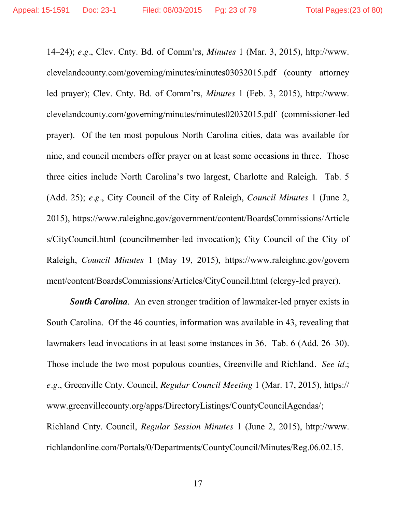14–24); *e.g.*, Clev. Cnty. Bd. of Comm'rs, *Minutes* 1 (Mar. 3, 2015), http://www. clevelandcounty.com/governing/minutes/minutes03032015.pdf (county attorney led prayer); Clev. Cnty. Bd. of Comm'rs, *Minutes* 1 (Feb. 3, 2015), http://www. clevelandcounty.com/governing/minutes/minutes02032015.pdf (commissioner-led prayer). Of the ten most populous North Carolina cities, data was available for nine, and council members offer prayer on at least some occasions in three. Those three cities include North Carolina's two largest, Charlotte and Raleigh. Tab. 5 (Add. 25); *e.g.*, City Council of the City of Raleigh, *Council Minutes* 1 (June 2, 2015), https://www.raleighnc.gov/government/content/BoardsCommissions/Article s/CityCouncil.html (councilmember-led invocation); City Council of the City of Raleigh, *Council Minutes* 1 (May 19, 2015), https://www.raleighnc.gov/govern ment/content/BoardsCommissions/Articles/CityCouncil.html (clergy-led prayer).

*South Carolina*.An even stronger tradition of lawmaker-led prayer exists in South Carolina. Of the 46 counties, information was available in 43, revealing that lawmakers lead invocations in at least some instances in 36. Tab. 6 (Add. 26–30). Those include the two most populous counties, Greenville and Richland*. See id.*; *e.g.*, Greenville Cnty. Council, *Regular Council Meeting* 1 (Mar. 17, 2015), https:// www.greenvillecounty.org/apps/DirectoryListings/CountyCouncilAgendas/; Richland Cnty. Council, *Regular Session Minutes* 1 (June 2, 2015), http://www. richlandonline.com/Portals/0/Departments/CountyCouncil/Minutes/Reg.06.02.15.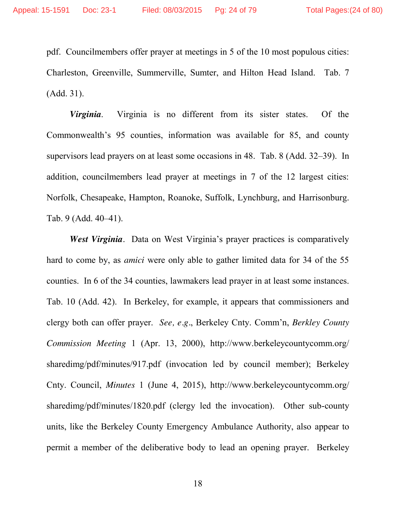pdf. Councilmembers offer prayer at meetings in 5 of the 10 most populous cities: Charleston, Greenville, Summerville, Sumter, and Hilton Head Island. Tab. 7 (Add. 31).

*Virginia*.Virginia is no different from its sister states. Of the Commonwealth's 95 counties, information was available for 85, and county supervisors lead prayers on at least some occasions in 48. Tab. 8 (Add. 32–39). In addition, councilmembers lead prayer at meetings in 7 of the 12 largest cities: Norfolk, Chesapeake, Hampton, Roanoke, Suffolk, Lynchburg, and Harrisonburg. Tab. 9 (Add. 40–41).

*West Virginia.* Data on West Virginia's prayer practices is comparatively hard to come by, as *amici* were only able to gather limited data for 34 of the 55 counties. In 6 of the 34 counties, lawmakers lead prayer in at least some instances. Tab. 10 (Add. 42). In Berkeley, for example, it appears that commissioners and clergy both can offer prayer. *See, e.g.*, Berkeley Cnty. Comm'n, *Berkley County Commission Meeting* 1 (Apr. 13, 2000), http://www.berkeleycountycomm.org/ sharedimg/pdf/minutes/917.pdf (invocation led by council member); Berkeley Cnty. Council, *Minutes* 1 (June 4, 2015), http://www.berkeleycountycomm.org/ sharedimg/pdf/minutes/1820.pdf (clergy led the invocation). Other sub-county units, like the Berkeley County Emergency Ambulance Authority, also appear to permit a member of the deliberative body to lead an opening prayer. Berkeley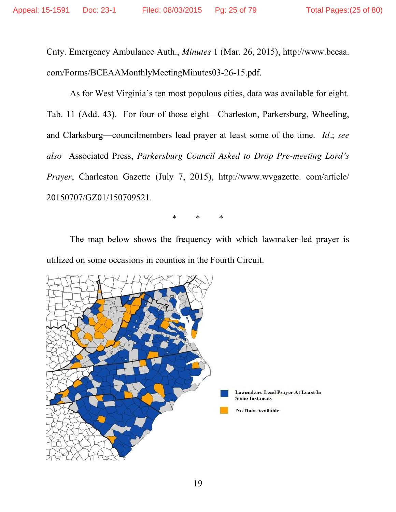Cnty. Emergency Ambulance Auth., *Minutes* 1 (Mar. 26, 2015), http://www.bceaa. com/Forms/BCEAAMonthlyMeetingMinutes03-26-15.pdf.

As for West Virginia's ten most populous cities, data was available for eight. Tab. 11 (Add. 43). For four of those eight—Charleston, Parkersburg, Wheeling, and Clarksburg—councilmembers lead prayer at least some of the time. *Id.*; *see also* Associated Press, *Parkersburg Council Asked to Drop Pre-meeting Lord's Prayer*, Charleston Gazette (July 7, 2015), http://www.wvgazette. com/article/ 20150707/GZ01/150709521.

\* \* \*

The map below shows the frequency with which lawmaker-led prayer is utilized on some occasions in counties in the Fourth Circuit.

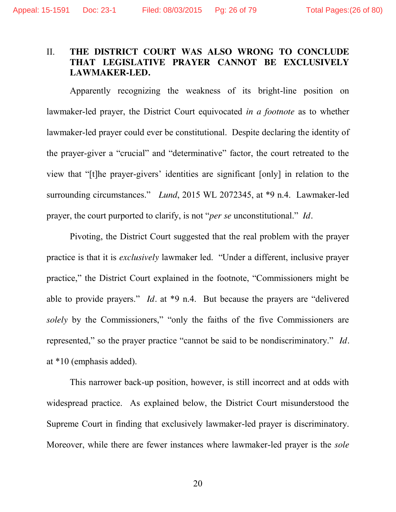## II. **THE DISTRICT COURT WAS ALSO WRONG TO CONCLUDE THAT LEGISLATIVE PRAYER CANNOT BE EXCLUSIVELY LAWMAKER-LED.**

Apparently recognizing the weakness of its bright-line position on lawmaker-led prayer, the District Court equivocated *in a footnote* as to whether lawmaker-led prayer could ever be constitutional. Despite declaring the identity of the prayer-giver a "crucial" and "determinative" factor, the court retreated to the view that "[t]he prayer-givers' identities are significant [only] in relation to the surrounding circumstances." *Lund*, 2015 WL 2072345, at \*9 n.4. Lawmaker-led prayer, the court purported to clarify, is not "*per se* unconstitutional." *Id.*

Pivoting, the District Court suggested that the real problem with the prayer practice is that it is *exclusively* lawmaker led. "Under a different, inclusive prayer practice," the District Court explained in the footnote, "Commissioners might be able to provide prayers." *Id.* at \*9 n.4. But because the prayers are "delivered *solely* by the Commissioners," "only the faiths of the five Commissioners are represented," so the prayer practice "cannot be said to be nondiscriminatory." *Id.* at \*10 (emphasis added).

This narrower back-up position, however, is still incorrect and at odds with widespread practice. As explained below, the District Court misunderstood the Supreme Court in finding that exclusively lawmaker-led prayer is discriminatory. Moreover, while there are fewer instances where lawmaker-led prayer is the *sole*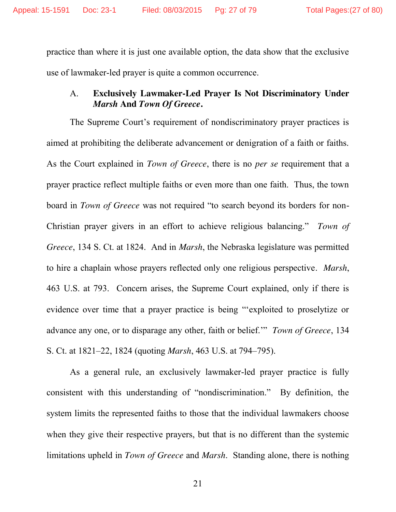practice than where it is just one available option, the data show that the exclusive use of lawmaker-led prayer is quite a common occurrence.

## A. **Exclusively Lawmaker-Led Prayer Is Not Discriminatory Under**  *Marsh* **And** *Town Of Greece***.**

The Supreme Court's requirement of nondiscriminatory prayer practices is aimed at prohibiting the deliberate advancement or denigration of a faith or faiths. As the Court explained in *Town of Greece*, there is no *per se* requirement that a prayer practice reflect multiple faiths or even more than one faith. Thus, the town board in *Town of Greece* was not required "to search beyond its borders for non-Christian prayer givers in an effort to achieve religious balancing." *Town of Greece*, 134 S. Ct. at 1824. And in *Marsh*, the Nebraska legislature was permitted to hire a chaplain whose prayers reflected only one religious perspective. *Marsh*, 463 U.S. at 793. Concern arises, the Supreme Court explained, only if there is evidence over time that a prayer practice is being "'exploited to proselytize or advance any one, or to disparage any other, faith or belief.'" *Town of Greece*, 134 S. Ct. at 1821–22, 1824 (quoting *Marsh*, 463 U.S. at 794–795).

As a general rule, an exclusively lawmaker-led prayer practice is fully consistent with this understanding of "nondiscrimination." By definition, the system limits the represented faiths to those that the individual lawmakers choose when they give their respective prayers, but that is no different than the systemic limitations upheld in *Town of Greece* and *Marsh*. Standing alone, there is nothing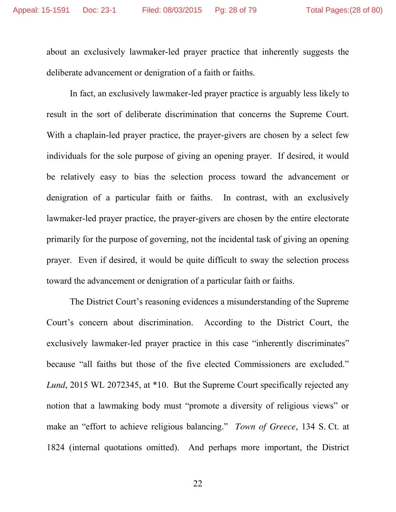about an exclusively lawmaker-led prayer practice that inherently suggests the deliberate advancement or denigration of a faith or faiths.

In fact, an exclusively lawmaker-led prayer practice is arguably less likely to result in the sort of deliberate discrimination that concerns the Supreme Court. With a chaplain-led prayer practice, the prayer-givers are chosen by a select few individuals for the sole purpose of giving an opening prayer. If desired, it would be relatively easy to bias the selection process toward the advancement or denigration of a particular faith or faiths. In contrast, with an exclusively lawmaker-led prayer practice, the prayer-givers are chosen by the entire electorate primarily for the purpose of governing, not the incidental task of giving an opening prayer. Even if desired, it would be quite difficult to sway the selection process toward the advancement or denigration of a particular faith or faiths.

The District Court's reasoning evidences a misunderstanding of the Supreme Court's concern about discrimination. According to the District Court, the exclusively lawmaker-led prayer practice in this case "inherently discriminates" because "all faiths but those of the five elected Commissioners are excluded." *Lund*, 2015 WL 2072345, at \*10. But the Supreme Court specifically rejected any notion that a lawmaking body must "promote a diversity of religious views" or make an "effort to achieve religious balancing." *Town of Greece*, 134 S. Ct. at 1824 (internal quotations omitted). And perhaps more important, the District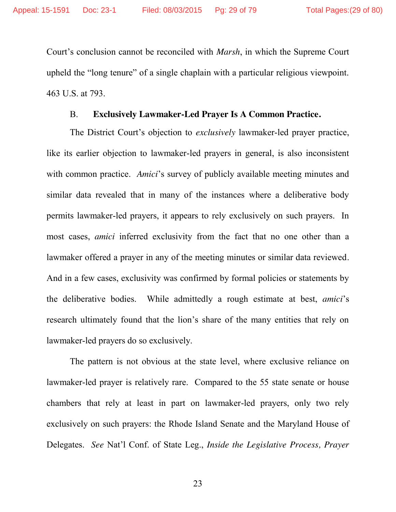Court's conclusion cannot be reconciled with *Marsh*, in which the Supreme Court upheld the "long tenure" of a single chaplain with a particular religious viewpoint. 463 U.S. at 793.

#### B. **Exclusively Lawmaker-Led Prayer Is A Common Practice.**

The District Court's objection to *exclusively* lawmaker-led prayer practice, like its earlier objection to lawmaker-led prayers in general, is also inconsistent with common practice. *Amici*'s survey of publicly available meeting minutes and similar data revealed that in many of the instances where a deliberative body permits lawmaker-led prayers, it appears to rely exclusively on such prayers. In most cases, *amici* inferred exclusivity from the fact that no one other than a lawmaker offered a prayer in any of the meeting minutes or similar data reviewed. And in a few cases, exclusivity was confirmed by formal policies or statements by the deliberative bodies. While admittedly a rough estimate at best, *amici*'s research ultimately found that the lion's share of the many entities that rely on lawmaker-led prayers do so exclusively.

The pattern is not obvious at the state level, where exclusive reliance on lawmaker-led prayer is relatively rare. Compared to the 55 state senate or house chambers that rely at least in part on lawmaker-led prayers, only two rely exclusively on such prayers: the Rhode Island Senate and the Maryland House of Delegates. *See* Nat'l Conf. of State Leg., *Inside the Legislative Process, Prayer*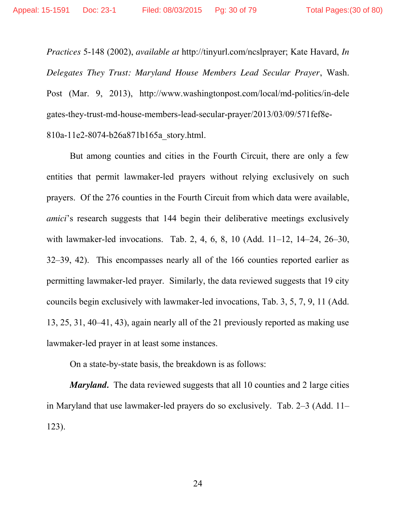*Practices* 5-148 (2002), *available at* http://tinyurl.com/ncslprayer; Kate Havard, *In Delegates They Trust: Maryland House Members Lead Secular Prayer*, Wash. Post (Mar. 9, 2013), http://www.washingtonpost.com/local/md-politics/in-dele gates-they-trust-md-house-members-lead-secular-prayer/2013/03/09/571fef8e-810a-11e2-8074-b26a871b165a\_story.html.

But among counties and cities in the Fourth Circuit, there are only a few entities that permit lawmaker-led prayers without relying exclusively on such prayers. Of the 276 counties in the Fourth Circuit from which data were available, *amici*'s research suggests that 144 begin their deliberative meetings exclusively with lawmaker-led invocations. Tab. 2, 4, 6, 8, 10 (Add. 11–12, 14–24, 26–30, 32–39, 42). This encompasses nearly all of the 166 counties reported earlier as permitting lawmaker-led prayer. Similarly, the data reviewed suggests that 19 city councils begin exclusively with lawmaker-led invocations, Tab. 3, 5, 7, 9, 11 (Add. 13, 25, 31, 40–41, 43), again nearly all of the 21 previously reported as making use lawmaker-led prayer in at least some instances.

On a state-by-state basis, the breakdown is as follows:

*Maryland.* The data reviewed suggests that all 10 counties and 2 large cities in Maryland that use lawmaker-led prayers do so exclusively. Tab. 2–3 (Add. 11– 123).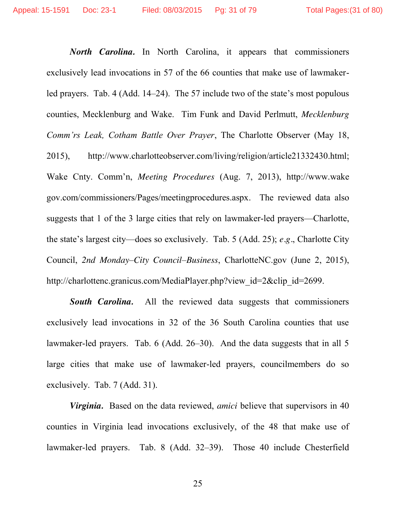*North Carolina.* In North Carolina, it appears that commissioners exclusively lead invocations in 57 of the 66 counties that make use of lawmakerled prayers. Tab. 4 (Add. 14–24). The 57 include two of the state's most populous counties, Mecklenburg and Wake. Tim Funk and David Perlmutt, *Mecklenburg Comm'rs Leak, Cotham Battle Over Prayer*, The Charlotte Observer (May 18, 2015), http://www.charlotteobserver.com/living/religion/article21332430.html; Wake Cnty. Comm'n, *Meeting Procedures* (Aug. 7, 2013), http://www.wake gov.com/commissioners/Pages/meetingprocedures.aspx. The reviewed data also suggests that 1 of the 3 large cities that rely on lawmaker-led prayers—Charlotte, the state's largest city—does so exclusively. Tab. 5 (Add. 25); *e.g.*, Charlotte City Council, *2nd Monday–City Council–Business*, CharlotteNC.gov (June 2, 2015), http://charlottenc.granicus.com/MediaPlayer.php?view\_id=2&clip\_id=2699.

**South Carolina.** All the reviewed data suggests that commissioners exclusively lead invocations in 32 of the 36 South Carolina counties that use lawmaker-led prayers. Tab. 6 (Add. 26–30). And the data suggests that in all 5 large cities that make use of lawmaker-led prayers, councilmembers do so exclusively. Tab. 7 (Add. 31).

*Virginia.* Based on the data reviewed, *amici* believe that supervisors in 40 counties in Virginia lead invocations exclusively, of the 48 that make use of lawmaker-led prayers. Tab. 8 (Add. 32–39). Those 40 include Chesterfield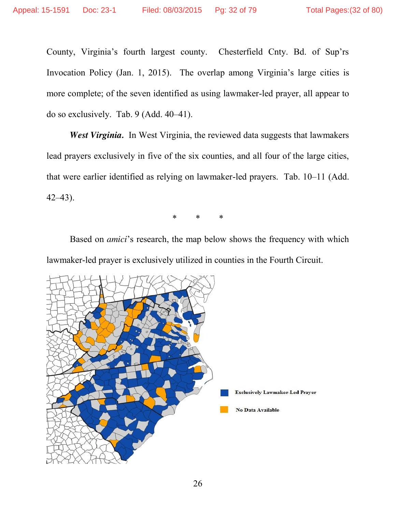County, Virginia's fourth largest county. Chesterfield Cnty. Bd. of Sup'rs Invocation Policy (Jan. 1, 2015). The overlap among Virginia's large cities is more complete; of the seven identified as using lawmaker-led prayer, all appear to do so exclusively. Tab. 9 (Add. 40–41).

*West Virginia.* In West Virginia, the reviewed data suggests that lawmakers lead prayers exclusively in five of the six counties, and all four of the large cities, that were earlier identified as relying on lawmaker-led prayers. Tab. 10–11 (Add. 42–43).

\* \* \*

Based on *amici*'s research, the map below shows the frequency with which lawmaker-led prayer is exclusively utilized in counties in the Fourth Circuit.

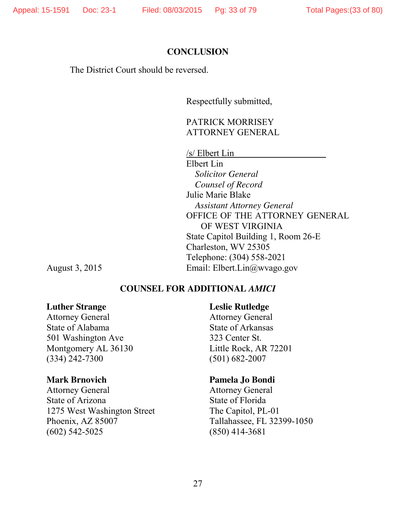#### **CONCLUSION**

The District Court should be reversed.

Respectfully submitted,

## PATRICK MORRISEY ATTORNEY GENERAL

/s/ Elbert Lin

Elbert Lin *Solicitor General Counsel of Record* Julie Marie Blake *Assistant Attorney General* OFFICE OF THE ATTORNEY GENERAL OF WEST VIRGINIA State Capitol Building 1, Room 26-E Charleston, WV 25305 Telephone: (304) 558-2021 August 3, 2015 Email: Elbert.Lin@wvago.gov

### **COUNSEL FOR ADDITIONAL** *AMICI*

## **Luther Strange**

Attorney General State of Alabama 501 Washington Ave Montgomery AL 36130 (334) 242-7300

#### **Mark Brnovich**

Attorney General State of Arizona 1275 West Washington Street Phoenix, AZ 85007 (602) 542-5025

**Leslie Rutledge**

Attorney General State of Arkansas 323 Center St. Little Rock, AR 72201 (501) 682-2007

#### **Pamela Jo Bondi**

Attorney General State of Florida The Capitol, PL-01 Tallahassee, FL 32399-1050 (850) 414-3681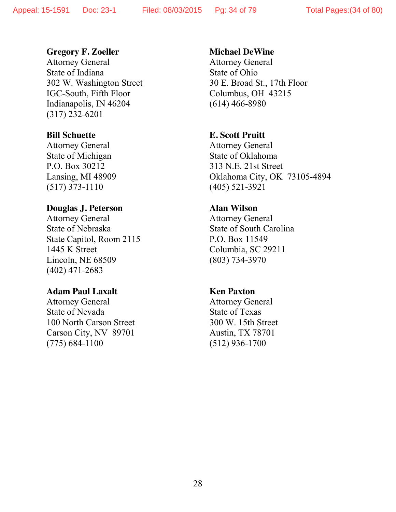#### **Gregory F. Zoeller**

Attorney General State of Indiana 302 W. Washington Street IGC-South, Fifth Floor Indianapolis, IN 46204 (317) 232-6201

#### **Bill Schuette**

Attorney General State of Michigan P.O. Box 30212 Lansing, MI 48909 (517) 373-1110

#### **Douglas J. Peterson**

Attorney General State of Nebraska State Capitol, Room 2115 1445 K Street Lincoln, NE 68509 (402) 471-2683

### **Adam Paul Laxalt**

Attorney General State of Nevada 100 North Carson Street Carson City, NV 89701 (775) 684-1100

#### **Michael DeWine**

Attorney General State of Ohio 30 E. Broad St., 17th Floor Columbus, OH 43215 (614) 466-8980

#### **E. Scott Pruitt**

Attorney General State of Oklahoma 313 N.E. 21st Street Oklahoma City, OK 73105-4894 (405) 521-3921

## **Alan Wilson**

Attorney General State of South Carolina P.O. Box 11549 Columbia, SC 29211 (803) 734-3970

## **Ken Paxton**

Attorney General State of Texas 300 W. 15th Street Austin, TX 78701 (512) 936-1700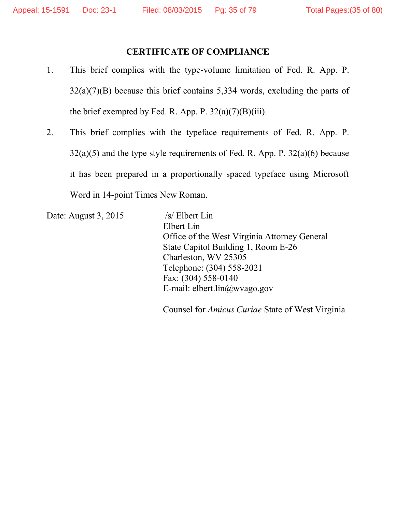## **CERTIFICATE OF COMPLIANCE**

- 1. This brief complies with the type-volume limitation of Fed. R. App. P.  $32(a)(7)(B)$  because this brief contains 5,334 words, excluding the parts of the brief exempted by Fed. R. App. P.  $32(a)(7)(B)(iii)$ .
- 2. This brief complies with the typeface requirements of Fed. R. App. P.  $32(a)(5)$  and the type style requirements of Fed. R. App. P.  $32(a)(6)$  because it has been prepared in a proportionally spaced typeface using Microsoft Word in 14-point Times New Roman.

Date: August 3, 2015 /s/ Elbert Lin

Elbert Lin Office of the West Virginia Attorney General State Capitol Building 1, Room E-26 Charleston, WV 25305 Telephone: (304) 558-2021 Fax: (304) 558-0140 E-mail: elbert.lin@wvago.gov

Counsel for *Amicus Curiae* State of West Virginia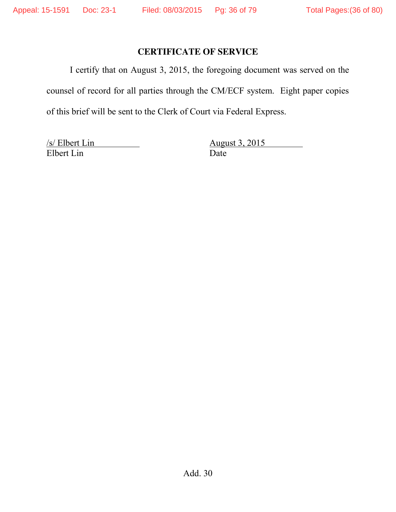# **CERTIFICATE OF SERVICE**

I certify that on August 3, 2015, the foregoing document was served on the counsel of record for all parties through the CM/ECF system. Eight paper copies of this brief will be sent to the Clerk of Court via Federal Express.

Elbert Lin Date

/s/ Elbert Lin August 3, 2015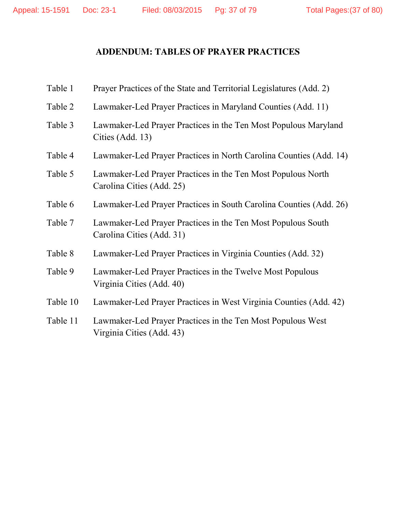#### **ADDENDUM: TABLES OF PRAYER PRACTICES**

| Table 1  | Prayer Practices of the State and Territorial Legislatures (Add. 2)                       |
|----------|-------------------------------------------------------------------------------------------|
| Table 2  | Lawmaker-Led Prayer Practices in Maryland Counties (Add. 11)                              |
| Table 3  | Lawmaker-Led Prayer Practices in the Ten Most Populous Maryland<br>Cities (Add. 13)       |
| Table 4  | Lawmaker-Led Prayer Practices in North Carolina Counties (Add. 14)                        |
| Table 5  | Lawmaker-Led Prayer Practices in the Ten Most Populous North<br>Carolina Cities (Add. 25) |
| Table 6  | Lawmaker-Led Prayer Practices in South Carolina Counties (Add. 26)                        |
| Table 7  | Lawmaker-Led Prayer Practices in the Ten Most Populous South<br>Carolina Cities (Add. 31) |
| Table 8  | Lawmaker-Led Prayer Practices in Virginia Counties (Add. 32)                              |
| Table 9  | Lawmaker-Led Prayer Practices in the Twelve Most Populous<br>Virginia Cities (Add. 40)    |
| Table 10 | Lawmaker-Led Prayer Practices in West Virginia Counties (Add. 42)                         |
| Table 11 | Lawmaker-Led Prayer Practices in the Ten Most Populous West<br>Virginia Cities (Add. 43)  |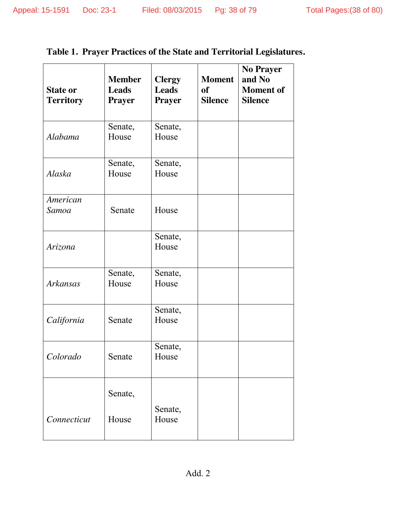# **Table 1. Prayer Practices of the State and Territorial Legislatures.**

| <b>State or</b><br><b>Territory</b> | <b>Member</b><br><b>Leads</b><br><b>Prayer</b> | <b>Clergy</b><br><b>Leads</b><br><b>Prayer</b> | <b>Moment</b><br>of<br><b>Silence</b> | <b>No Prayer</b><br>and No<br><b>Moment</b> of<br><b>Silence</b> |
|-------------------------------------|------------------------------------------------|------------------------------------------------|---------------------------------------|------------------------------------------------------------------|
| Alabama                             | Senate,<br>House                               | Senate,<br>House                               |                                       |                                                                  |
| Alaska                              | Senate,<br>House                               | Senate,<br>House                               |                                       |                                                                  |
| American<br>Samoa                   | Senate                                         | House                                          |                                       |                                                                  |
| <b>Arizona</b>                      |                                                | Senate,<br>House                               |                                       |                                                                  |
| Arkansas                            | Senate,<br>House                               | Senate,<br>House                               |                                       |                                                                  |
| California                          | Senate                                         | Senate,<br>House                               |                                       |                                                                  |
| Colorado                            | Senate                                         | Senate,<br>House                               |                                       |                                                                  |
|                                     | Senate,                                        | Senate,                                        |                                       |                                                                  |
| Connecticut                         | House                                          | House                                          |                                       |                                                                  |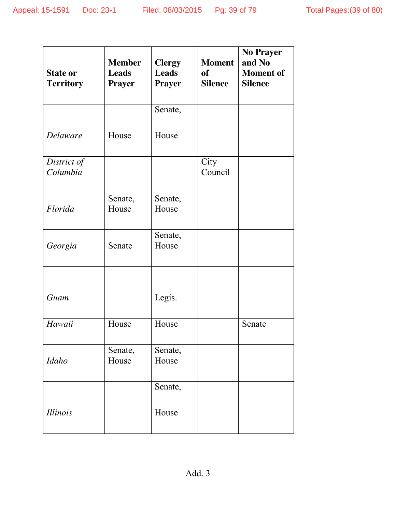| <b>State or</b><br><b>Territory</b> | <b>Member</b><br><b>Leads</b><br><b>Prayer</b> | <b>Clergy</b><br><b>Leads</b><br><b>Prayer</b> | <b>Moment</b><br><b>of</b><br><b>Silence</b> | <b>No Prayer</b><br>and No<br><b>Moment</b> of<br><b>Silence</b> |
|-------------------------------------|------------------------------------------------|------------------------------------------------|----------------------------------------------|------------------------------------------------------------------|
|                                     |                                                | Senate,                                        |                                              |                                                                  |
| <b>Delaware</b>                     | House                                          | House                                          |                                              |                                                                  |
| District of<br>Columbia             |                                                |                                                | City<br>Council                              |                                                                  |
| Florida                             | Senate,<br>House                               | Senate,<br>House                               |                                              |                                                                  |
| Georgia                             | Senate                                         | Senate,<br>House                               |                                              |                                                                  |
| Guam                                |                                                | Legis.                                         |                                              |                                                                  |
| Hawaii                              | House                                          | House                                          |                                              | Senate                                                           |
| <b>Idaho</b>                        | Senate,<br>House                               | Senate,<br>House                               |                                              |                                                                  |
|                                     |                                                | Senate,                                        |                                              |                                                                  |
| <i>Illinois</i>                     |                                                | House                                          |                                              |                                                                  |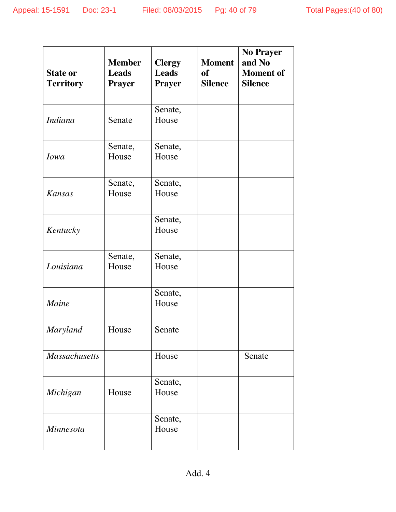| <b>State or</b><br><b>Territory</b> | <b>Member</b><br><b>Leads</b><br><b>Prayer</b> | <b>Clergy</b><br><b>Leads</b><br><b>Prayer</b> | <b>Moment</b><br><b>of</b><br><b>Silence</b> | <b>No Prayer</b><br>and No<br><b>Moment</b> of<br><b>Silence</b> |
|-------------------------------------|------------------------------------------------|------------------------------------------------|----------------------------------------------|------------------------------------------------------------------|
| <b>Indiana</b>                      | Senate                                         | Senate,<br>House                               |                                              |                                                                  |
| <b><i>Iowa</i></b>                  | Senate,<br>House                               | Senate,<br>House                               |                                              |                                                                  |
| <b>Kansas</b>                       | Senate,<br>House                               | Senate,<br>House                               |                                              |                                                                  |
| Kentucky                            |                                                | Senate,<br>House                               |                                              |                                                                  |
| Louisiana                           | Senate,<br>House                               | Senate,<br>House                               |                                              |                                                                  |
| Maine                               |                                                | Senate,<br>House                               |                                              |                                                                  |
| <b>Maryland</b>                     | House                                          | Senate                                         |                                              |                                                                  |
| <b>Massachusetts</b>                |                                                | House                                          |                                              | Senate                                                           |
| Michigan                            | House                                          | Senate,<br>House                               |                                              |                                                                  |
| <b>Minnesota</b>                    |                                                | Senate,<br>House                               |                                              |                                                                  |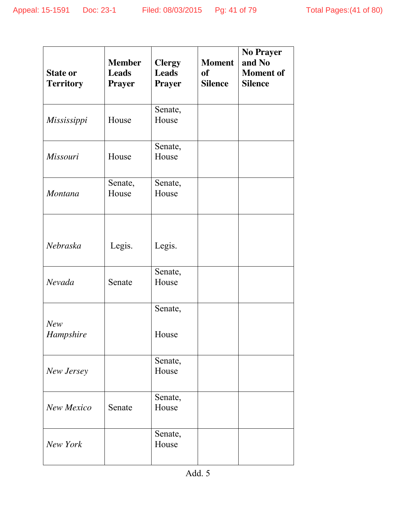| <b>State or</b><br><b>Territory</b> | <b>Member</b><br><b>Leads</b><br><b>Prayer</b> | <b>Clergy</b><br><b>Leads</b><br><b>Prayer</b> | <b>Moment</b><br><b>of</b><br><b>Silence</b> | <b>No Prayer</b><br>and No<br><b>Moment</b> of<br><b>Silence</b> |
|-------------------------------------|------------------------------------------------|------------------------------------------------|----------------------------------------------|------------------------------------------------------------------|
| Mississippi                         | House                                          | Senate,<br>House                               |                                              |                                                                  |
| <b>Missouri</b>                     | House                                          | Senate,<br>House                               |                                              |                                                                  |
| <b>Montana</b>                      | Senate,<br>House                               | Senate,<br>House                               |                                              |                                                                  |
| Nebraska                            | Legis.                                         | Legis.                                         |                                              |                                                                  |
| Nevada                              | Senate                                         | Senate,<br>House                               |                                              |                                                                  |
|                                     |                                                | Senate,                                        |                                              |                                                                  |
| New<br>Hampshire                    |                                                | House                                          |                                              |                                                                  |
| New Jersey                          |                                                | Senate,<br>House                               |                                              |                                                                  |
| <b>New Mexico</b>                   | Senate                                         | Senate,<br>House                               |                                              |                                                                  |
| New York                            |                                                | Senate,<br>House                               |                                              |                                                                  |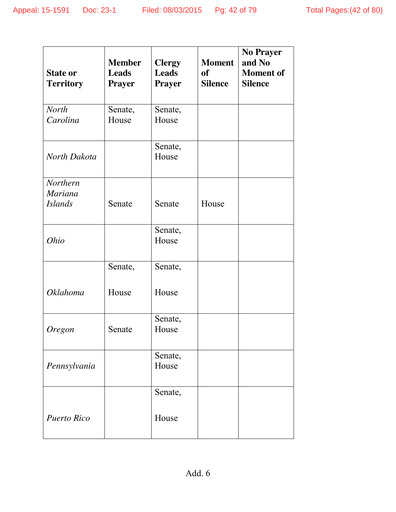| <b>State or</b><br><b>Territory</b>          | <b>Member</b><br><b>Leads</b><br><b>Prayer</b> | <b>Clergy</b><br><b>Leads</b><br><b>Prayer</b> | <b>Moment</b><br><b>of</b><br><b>Silence</b> | <b>No Prayer</b><br>and No<br><b>Moment</b> of<br><b>Silence</b> |
|----------------------------------------------|------------------------------------------------|------------------------------------------------|----------------------------------------------|------------------------------------------------------------------|
| <b>North</b><br>Carolina                     | Senate,<br>House                               | Senate,<br>House                               |                                              |                                                                  |
| North Dakota                                 |                                                | Senate,<br>House                               |                                              |                                                                  |
| Northern<br><b>Mariana</b><br><b>Islands</b> | Senate                                         | Senate                                         | House                                        |                                                                  |
| <i>Ohio</i>                                  |                                                | Senate,<br>House                               |                                              |                                                                  |
| <b>Oklahoma</b>                              | Senate,<br>House                               | Senate,<br>House                               |                                              |                                                                  |
| <b>Oregon</b>                                | Senate                                         | Senate,<br>House                               |                                              |                                                                  |
| Pennsylvania                                 |                                                | Senate,<br>House                               |                                              |                                                                  |
| <b>Puerto Rico</b>                           |                                                | Senate,<br>House                               |                                              |                                                                  |

Add. 6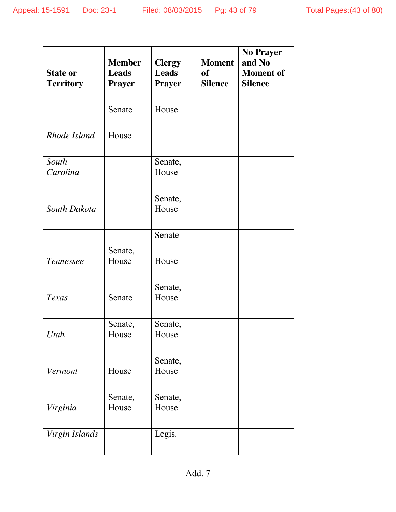|                                     | <b>Member</b>                 | <b>Clergy</b>                 | <b>Moment</b>               | <b>No Prayer</b><br>and No         |
|-------------------------------------|-------------------------------|-------------------------------|-----------------------------|------------------------------------|
| <b>State or</b><br><b>Territory</b> | <b>Leads</b><br><b>Prayer</b> | <b>Leads</b><br><b>Prayer</b> | <b>of</b><br><b>Silence</b> | <b>Moment</b> of<br><b>Silence</b> |
|                                     | Senate                        | House                         |                             |                                    |
| Rhode Island                        | House                         |                               |                             |                                    |
| South                               |                               | Senate,                       |                             |                                    |
| Carolina                            |                               | House                         |                             |                                    |
|                                     |                               | Senate,                       |                             |                                    |
| South Dakota                        |                               | House                         |                             |                                    |
|                                     |                               | Senate                        |                             |                                    |
|                                     | Senate,                       |                               |                             |                                    |
| Tennessee                           | House                         | House                         |                             |                                    |
|                                     |                               | Senate,                       |                             |                                    |
| Texas                               | Senate                        | House                         |                             |                                    |
|                                     | Senate,                       | Senate,                       |                             |                                    |
| Utah                                | House                         | House                         |                             |                                    |
|                                     |                               | Senate,                       |                             |                                    |
| Vermont                             | House                         | House                         |                             |                                    |
|                                     | Senate,                       | Senate,                       |                             |                                    |
| Virginia                            | House                         | House                         |                             |                                    |
| Virgin Islands                      |                               | Legis.                        |                             |                                    |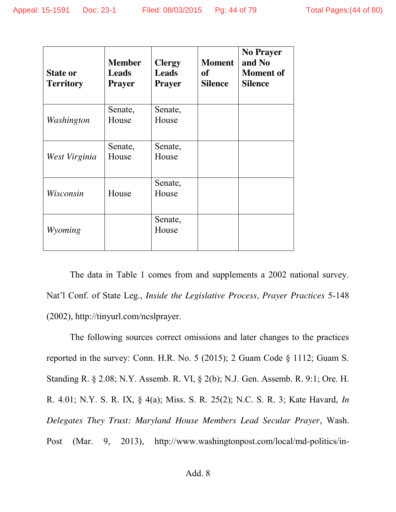| <b>State or</b><br><b>Territory</b> | <b>Member</b><br><b>Leads</b><br><b>Prayer</b> | <b>Clergy</b><br><b>Leads</b><br><b>Prayer</b> | <b>Moment</b><br><b>of</b><br><b>Silence</b> | <b>No Prayer</b><br>and No<br><b>Moment</b> of<br><b>Silence</b> |
|-------------------------------------|------------------------------------------------|------------------------------------------------|----------------------------------------------|------------------------------------------------------------------|
| Washington                          | Senate,<br>House                               | Senate,<br>House                               |                                              |                                                                  |
| West Virginia                       | Senate,<br>House                               | Senate,<br>House                               |                                              |                                                                  |
| Wisconsin                           | House                                          | Senate,<br>House                               |                                              |                                                                  |
| Wyoming                             |                                                | Senate,<br>House                               |                                              |                                                                  |

The data in Table 1 comes from and supplements a 2002 national survey. Nat'l Conf. of State Leg., *Inside the Legislative Process, Prayer Practices* 5-148 (2002), http://tinyurl.com/ncslprayer.

The following sources correct omissions and later changes to the practices reported in the survey: Conn. H.R. No. 5 (2015); 2 Guam Code § 1112; Guam S. Standing R. § 2.08; N.Y. Assemb. R. VI, § 2(b); N.J. Gen. Assemb. R. 9:1; Ore. H. R. 4.01; N.Y. S. R. IX, § 4(a); Miss. S. R. 25(2); N.C. S. R. 3; Kate Havard, *In Delegates They Trust: Maryland House Members Lead Secular Prayer*, Wash. Post (Mar. 9, 2013), http://www.washingtonpost.com/local/md-politics/in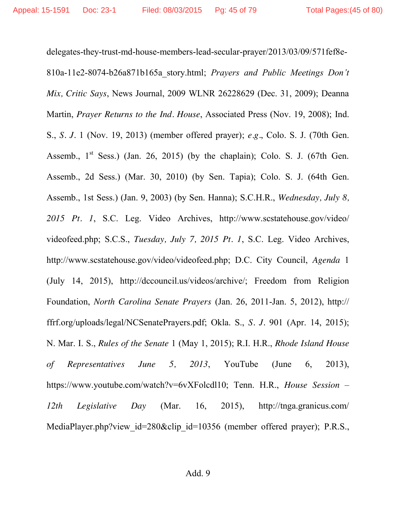delegates-they-trust-md-house-members-lead-secular-prayer/2013/03/09/571fef8e-810a-11e2-8074-b26a871b165a\_story.html; *Prayers and Public Meetings Don't Mix, Critic Says*, News Journal, 2009 WLNR 26228629 (Dec. 31, 2009); Deanna Martin, *Prayer Returns to the Ind. House*, Associated Press (Nov. 19, 2008); Ind. S., *S. J.* 1 (Nov. 19, 2013) (member offered prayer); *e.g.*, Colo. S. J. (70th Gen. Assemb.,  $1<sup>st</sup>$  Sess.) (Jan. 26, 2015) (by the chaplain); Colo. S. J. (67th Gen. Assemb., 2d Sess.) (Mar. 30, 2010) (by Sen. Tapia); Colo. S. J. (64th Gen. Assemb., 1st Sess.) (Jan. 9, 2003) (by Sen. Hanna); S.C.H.R., *Wednesday, July 8, 2015 Pt. 1*, S.C. Leg. Video Archives, http://www.scstatehouse.gov/video/ videofeed.php; S.C.S., *Tuesday, July 7, 2015 Pt. 1*, S.C. Leg. Video Archives, http://www.scstatehouse.gov/video/videofeed.php; D.C. City Council, *Agenda* 1 (July 14, 2015), http://dccouncil.us/videos/archive/; Freedom from Religion Foundation, *North Carolina Senate Prayers* (Jan. 26, 2011-Jan. 5, 2012), http:// ffrf.org/uploads/legal/NCSenatePrayers.pdf; Okla. S., *S. J.* 901 (Apr. 14, 2015); N. Mar. I. S., *Rules of the Senate* 1 (May 1, 2015); R.I. H.R., *Rhode Island House of Representatives June 5, 2013*, YouTube (June 6, 2013), https://www.youtube.com/watch?v=6vXFolcdl10; Tenn. H.R., *House Session – 12th Legislative Day* (Mar. 16, 2015), http://tnga.granicus.com/ MediaPlayer.php?view\_id=280&clip\_id=10356 (member offered prayer); P.R.S.,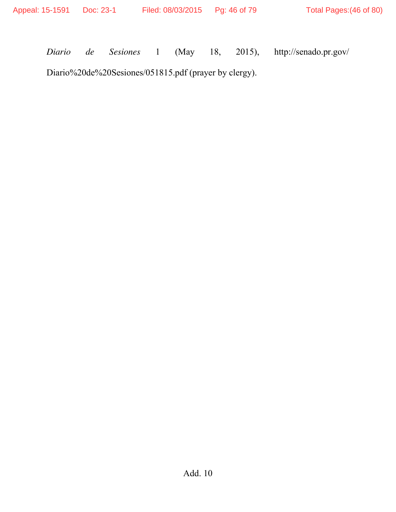*Diario de Sesiones* 1 (May 18, 2015), http://senado.pr.gov/

Diario%20de%20Sesiones/051815.pdf (prayer by clergy).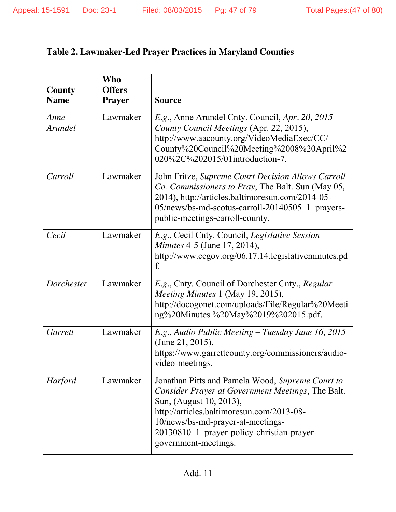## **Table 2. Lawmaker-Led Prayer Practices in Maryland Counties**

| County<br><b>Name</b>  | Who<br><b>Offers</b><br><b>Prayer</b> | <b>Source</b>                                                                                                                                                                                                                                                                            |
|------------------------|---------------------------------------|------------------------------------------------------------------------------------------------------------------------------------------------------------------------------------------------------------------------------------------------------------------------------------------|
| Anne<br><b>Arundel</b> | Lawmaker                              | E.g., Anne Arundel Cnty. Council, Apr. 20, 2015<br>County Council Meetings (Apr. 22, 2015),<br>http://www.aacounty.org/VideoMediaExec/CC/<br>County%20Council%20Meeting%2008%20April%2<br>020%2C%202015/01introduction-7.                                                                |
| Carroll                | Lawmaker                              | John Fritze, Supreme Court Decision Allows Carroll<br>Co. Commissioners to Pray, The Balt. Sun (May 05,<br>2014), http://articles.baltimoresun.com/2014-05-<br>05/news/bs-md-scotus-carroll-20140505 1 prayers-<br>public-meetings-carroll-county.                                       |
| Cecil                  | Lawmaker                              | E.g., Cecil Cnty. Council, Legislative Session<br><i>Minutes</i> 4-5 (June 17, 2014),<br>http://www.ccgov.org/06.17.14.legislativeminutes.pd<br>f.                                                                                                                                       |
| Dorchester             | Lawmaker                              | E.g., Cnty. Council of Dorchester Cnty., Regular<br>Meeting Minutes 1 (May 19, 2015),<br>http://docogonet.com/uploads/File/Regular%20Meeti<br>ng%20Minutes %20May%2019%202015.pdf.                                                                                                       |
| Garrett                | Lawmaker                              | $E.g.,$ Audio Public Meeting – Tuesday June 16, 2015<br>(June 21, 2015),<br>https://www.garrettcounty.org/commissioners/audio-<br>video-meetings.                                                                                                                                        |
| <b>Harford</b>         | Lawmaker                              | Jonathan Pitts and Pamela Wood, Supreme Court to<br>Consider Prayer at Government Meetings, The Balt.<br>Sun, (August 10, 2013),<br>http://articles.baltimoresun.com/2013-08-<br>10/news/bs-md-prayer-at-meetings-<br>20130810 1 prayer-policy-christian-prayer-<br>government-meetings. |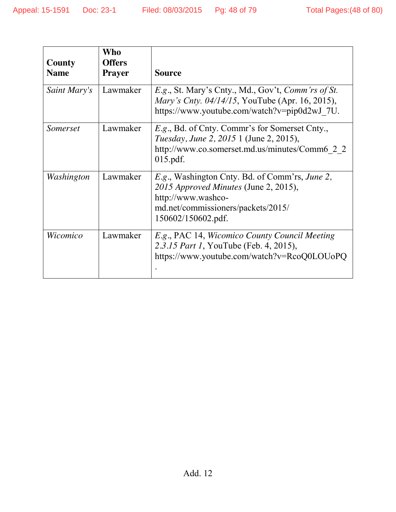| County<br><b>Name</b> | Who<br><b>Offers</b><br><b>Prayer</b> | <b>Source</b>                                                                                                                                                             |
|-----------------------|---------------------------------------|---------------------------------------------------------------------------------------------------------------------------------------------------------------------------|
| Saint Mary's          | Lawmaker                              | E.g., St. Mary's Cnty., Md., Gov't, Comm'rs of St.<br><i>Mary's Cnty. 04/14/15, YouTube (Apr. 16, 2015),</i><br>https://www.youtube.com/watch?v=pip0d2wJ_7U.              |
| Somerset              | Lawmaker                              | <i>E.g.</i> , Bd. of Cnty. Commr's for Somerset Cnty.,<br><i>Tuesday, June 2, 2015</i> 1 (June 2, 2015),<br>http://www.co.somerset.md.us/minutes/Comm6 2 2<br>$015.pdf$ . |
| Washington            | Lawmaker                              | E.g., Washington Cnty. Bd. of Comm'rs, June 2,<br>2015 Approved Minutes (June 2, 2015),<br>http://www.washco-<br>md.net/commissioners/packets/2015/<br>150602/150602.pdf. |
| Wicomico              | Lawmaker                              | E.g., PAC 14, Wicomico County Council Meeting<br>2.3.15 Part 1, YouTube (Feb. 4, 2015),<br>https://www.youtube.com/watch?v=RcoQ0LOUoPQ                                    |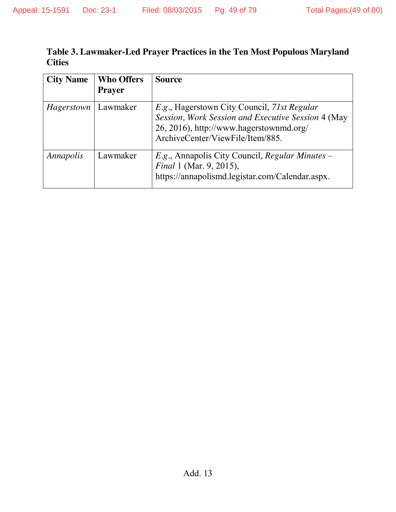#### **Table 3. Lawmaker-Led Prayer Practices in the Ten Most Populous Maryland Cities**

| <b>City Name</b> | <b>Who Offers</b><br><b>Prayer</b> | <b>Source</b>                                                                                                                                                                    |
|------------------|------------------------------------|----------------------------------------------------------------------------------------------------------------------------------------------------------------------------------|
| Hagerstown       | Lawmaker                           | E.g., Hagerstown City Council, 71st Regular<br>Session, Work Session and Executive Session 4 (May<br>26, 2016), http://www.hagerstownmd.org/<br>ArchiveCenter/ViewFile/Item/885. |
| Annapolis        | Lawmaker                           | E.g., Annapolis City Council, Regular Minutes –<br><i>Final</i> 1 (Mar. 9, 2015),<br>https://annapolismd.legistar.com/Calendar.aspx.                                             |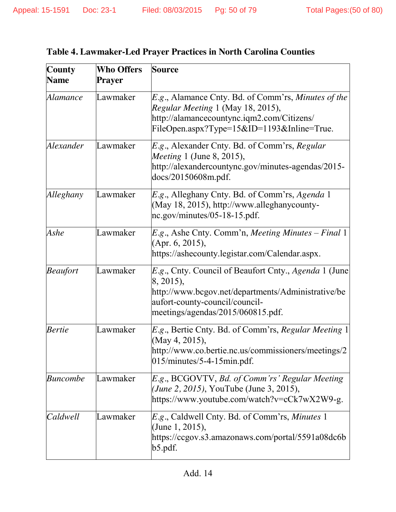| <b>County</b>   | <b>Who Offers</b> | Source                                                                                                                                                                                                   |
|-----------------|-------------------|----------------------------------------------------------------------------------------------------------------------------------------------------------------------------------------------------------|
| <b>Name</b>     | Prayer            |                                                                                                                                                                                                          |
| Alamance        | Lawmaker          | E.g., Alamance Cnty. Bd. of Comm'rs, Minutes of the<br>Regular Meeting 1 (May 18, 2015),<br>http://alamancecountync.iqm2.com/Citizens/<br>FileOpen.aspx?Type=15&ID=1193&Inline=True.                     |
| Alexander       | Lawmaker          | E.g., Alexander Cnty. Bd. of Comm'rs, Regular<br><i>Meeting</i> 1 (June 8, 2015),<br>http://alexandercountync.gov/minutes-agendas/2015-<br>docs/20150608m.pdf.                                           |
| Alleghany       | Lawmaker          | E.g., Alleghany Cnty. Bd. of Comm'rs, Agenda 1<br>(May 18, 2015), http://www.alleghanycounty-<br>nc.gov/minutes/05-18-15.pdf.                                                                            |
| Ashe            | Lawmaker          | $E.g.,$ Ashe Cnty. Comm'n, Meeting Minutes – Final 1<br>(Apr. 6, 2015),<br>https://ashecounty.legistar.com/Calendar.aspx.                                                                                |
| <b>Beaufort</b> | Lawmaker          | <i>E.g.</i> , Cnty. Council of Beaufort Cnty., Agenda 1 (June)<br>8, 2015),<br>http://www.bcgov.net/departments/Administrative/be<br>aufort-county-council/council-<br>meetings/agendas/2015/060815.pdf. |
| <b>Bertie</b>   | Lawmaker          | E.g., Bertie Cnty. Bd. of Comm'rs, Regular Meeting 1<br>(May 4, 2015),<br>http://www.co.bertie.nc.us/commissioners/meetings/2<br>$015/minutes/5-4-15min.pdf.$                                            |
| <b>Buncombe</b> | Lawmaker          | E.g., BCGOVTV, Bd. of Comm'rs' Regular Meeting<br>( <i>June 2, 2015</i> ), YouTube (June 3, 2015),<br>https://www.youtube.com/watch?v=cCk7wX2W9-g.                                                       |
| Caldwell        | Lawmaker          | E.g., Caldwell Cnty. Bd. of Comm'rs, Minutes 1<br>(June 1, 2015),<br>https://ccgov.s3.amazonaws.com/portal/5591a08dc6b<br>b5.pdf.                                                                        |

|  | <b>Table 4. Lawmaker-Led Prayer Practices in North Carolina Counties</b> |  |  |
|--|--------------------------------------------------------------------------|--|--|
|  |                                                                          |  |  |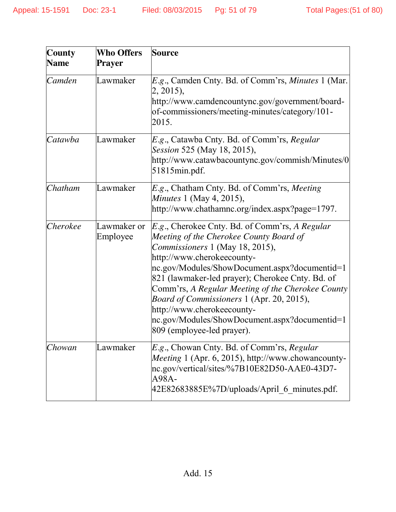| <b>County</b> | <b>Who Offers</b>       | <b>Source</b>                                                                                                                                                                                                                                                                                                                                                                                                                                                                          |
|---------------|-------------------------|----------------------------------------------------------------------------------------------------------------------------------------------------------------------------------------------------------------------------------------------------------------------------------------------------------------------------------------------------------------------------------------------------------------------------------------------------------------------------------------|
| <b>Name</b>   | <b>Prayer</b>           |                                                                                                                                                                                                                                                                                                                                                                                                                                                                                        |
| Camden        | Lawmaker                | E.g., Camden Cnty. Bd. of Comm'rs, Minutes 1 (Mar.<br>2, 2015),<br>http://www.camdencountync.gov/government/board-<br>of-commissioners/meeting-minutes/category/101-<br>2015.                                                                                                                                                                                                                                                                                                          |
| Catawba       | Lawmaker                | <i>E.g.</i> , Catawba Cnty. Bd. of Comm'rs, Regular<br>Session 525 (May 18, 2015),<br>http://www.catawbacountync.gov/commish/Minutes/0<br>51815min.pdf.                                                                                                                                                                                                                                                                                                                                |
| Chatham       | Lawmaker                | E.g., Chatham Cnty. Bd. of Comm'rs, Meeting<br><i>Minutes</i> 1 (May 4, 2015),<br>http://www.chathamnc.org/index.aspx?page=1797.                                                                                                                                                                                                                                                                                                                                                       |
| Cherokee      | Lawmaker or<br>Employee | <i>E.g.</i> , Cherokee Cnty. Bd. of Comm'rs, A Regular<br>Meeting of the Cherokee County Board of<br>Commissioners 1 (May 18, 2015),<br>http://www.cherokeecounty-<br>nc.gov/Modules/ShowDocument.aspx?documentid=1<br>821 (lawmaker-led prayer); Cherokee Cnty. Bd. of<br>Comm'rs, A Regular Meeting of the Cherokee County<br>Board of Commissioners 1 (Apr. 20, 2015),<br>http://www.cherokeecounty-<br>nc.gov/Modules/ShowDocument.aspx?documentid=1<br>809 (employee-led prayer). |
| Chowan        | Lawmaker                | E.g., Chowan Cnty. Bd. of Comm'rs, Regular<br>Meeting 1 (Apr. 6, 2015), http://www.chowancounty-<br>nc.gov/vertical/sites/%7B10E82D50-AAE0-43D7-<br>A98A-<br>42E82683885E%7D/uploads/April 6 minutes.pdf.                                                                                                                                                                                                                                                                              |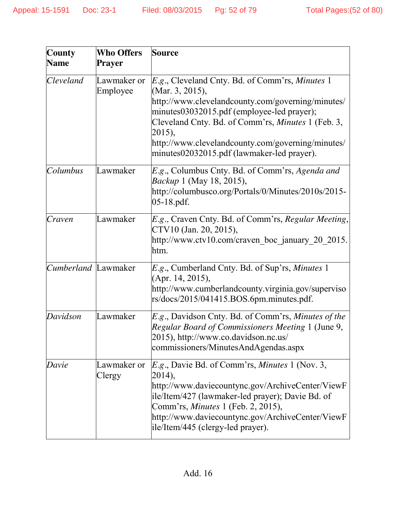| <b>County</b><br><b>Name</b>                | <b>Who Offers</b><br>Prayer | <b>Source</b>                                                                                                                                                                                                                                                                                                                            |  |  |  |  |
|---------------------------------------------|-----------------------------|------------------------------------------------------------------------------------------------------------------------------------------------------------------------------------------------------------------------------------------------------------------------------------------------------------------------------------------|--|--|--|--|
| <i>Cleveland</i><br>Lawmaker or<br>Employee |                             | E.g., Cleveland Cnty. Bd. of Comm'rs, Minutes 1<br>(Mar. 3, 2015),<br>http://www.clevelandcounty.com/governing/minutes/<br>minutes03032015.pdf (employee-led prayer);<br>Cleveland Cnty. Bd. of Comm'rs, Minutes 1 (Feb. 3,<br>2015),<br>http://www.clevelandcounty.com/governing/minutes/<br>minutes02032015.pdf (lawmaker-led prayer). |  |  |  |  |
| Columbus                                    | Lawmaker                    | E.g., Columbus Cnty. Bd. of Comm'rs, Agenda and<br><i>Backup</i> 1 (May 18, 2015),<br>http://columbusco.org/Portals/0/Minutes/2010s/2015-<br>$05-18.pdf$ .                                                                                                                                                                               |  |  |  |  |
| Craven                                      | Lawmaker                    | E.g., Craven Cnty. Bd. of Comm'rs, Regular Meeting,<br>CTV10 (Jan. 20, 2015),<br>http://www.ctv10.com/craven_boc_january_20_2015.<br>htm.                                                                                                                                                                                                |  |  |  |  |
| Cumberland Lawmaker                         |                             | <i>E.g.</i> , Cumberland Cnty. Bd. of Sup'rs, <i>Minutes</i> 1<br>(Apr. 14, 2015),<br>http://www.cumberlandcounty.virginia.gov/superviso<br>rs/docs/2015/041415.BOS.6pm.minutes.pdf.                                                                                                                                                     |  |  |  |  |
| Davidson                                    | Lawmaker                    | <i>E.g.</i> , Davidson Cnty. Bd. of Comm'rs, <i>Minutes of the</i><br>Regular Board of Commissioners Meeting 1 (June 9,<br>2015), http://www.co.davidson.nc.us/<br>commissioners/MinutesAndAgendas.aspx                                                                                                                                  |  |  |  |  |
| Davie                                       | Lawmaker or<br>Clergy       | <i>E.g.</i> , Davie Bd. of Comm'rs, <i>Minutes</i> 1 (Nov. 3,<br>2014),<br>http://www.daviecountync.gov/ArchiveCenter/ViewF<br>ile/Item/427 (lawmaker-led prayer); Davie Bd. of<br>Comm'rs, Minutes 1 (Feb. 2, 2015),<br>http://www.daviecountync.gov/ArchiveCenter/ViewF<br>ile/Item/445 (clergy-led prayer).                           |  |  |  |  |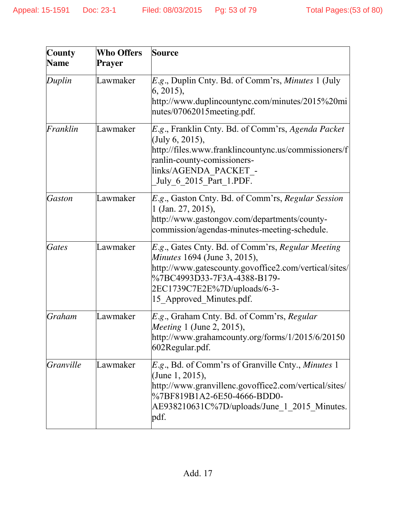| <b>County</b><br><b>Name</b> | <b>Who Offers</b><br>Prayer | <b>Source</b>                                                                                                                                                                                                                                |
|------------------------------|-----------------------------|----------------------------------------------------------------------------------------------------------------------------------------------------------------------------------------------------------------------------------------------|
| Duplin                       | Lawmaker                    | <i>E.g.</i> , Duplin Cnty. Bd. of Comm'rs, <i>Minutes</i> 1 (July<br>(6, 2015),<br>http://www.duplincountync.com/minutes/2015%20mi<br>nutes/07062015 meeting.pdf.                                                                            |
| Franklin                     | Lawmaker                    | E.g., Franklin Cnty. Bd. of Comm'rs, Agenda Packet<br>(July $6, 2015$ ),<br>http://files.www.franklincountync.us/commissioners/f<br>ranlin-county-comissioners-<br>links/AGENDA PACKET -<br>July 6 2015 Part 1.PDF.                          |
| <b>Gaston</b>                | Lawmaker                    | E.g., Gaston Cnty. Bd. of Comm'rs, Regular Session<br>1 (Jan. 27, 2015),<br>http://www.gastongov.com/departments/county-<br>commission/agendas-minutes-meeting-schedule.                                                                     |
| <b>Gates</b>                 | Lawmaker                    | E.g., Gates Cnty. Bd. of Comm'rs, Regular Meeting<br><i>Minutes</i> 1694 (June 3, 2015),<br>http://www.gatescounty.govoffice2.com/vertical/sites/<br>%7BC4993D33-7F3A-4388-B179-<br>2EC1739C7E2E%7D/uploads/6-3-<br>15 Approved Minutes.pdf. |
| <b>Graham</b>                | Lawmaker                    | E.g., Graham Cnty. Bd. of Comm'rs, Regular<br><i>Meeting</i> 1 (June 2, 2015),<br>http://www.grahamcounty.org/forms/1/2015/6/20150<br>602Regular.pdf.                                                                                        |
| <b>Granville</b>             | Lawmaker                    | <i>E.g.</i> , Bd. of Comm'rs of Granville Cnty., <i>Minutes</i> 1<br>(June 1, 2015),<br>http://www.granvillenc.govoffice2.com/vertical/sites/<br>%7BF819B1A2-6E50-4666-BDD0-<br>AE938210631C%7D/uploads/June 1 2015 Minutes.<br>pdf.         |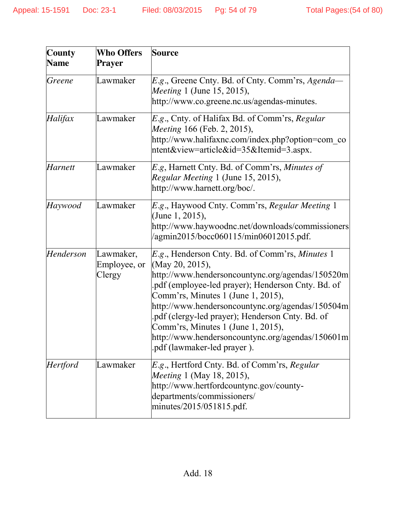| <b>County</b><br><b>Name</b> | <b>Who Offers</b><br>Prayer         | <b>Source</b>                                                                                                                                                                                                                                                                                                                                                                                                                                               |
|------------------------------|-------------------------------------|-------------------------------------------------------------------------------------------------------------------------------------------------------------------------------------------------------------------------------------------------------------------------------------------------------------------------------------------------------------------------------------------------------------------------------------------------------------|
| Greene                       | Lawmaker                            | <i>E.g.</i> , Greene Cnty. Bd. of Cnty. Comm'rs, Agenda-<br><i>Meeting</i> 1 (June 15, 2015),<br>http://www.co.greene.nc.us/agendas-minutes.                                                                                                                                                                                                                                                                                                                |
| Halifax                      | Lawmaker                            | E.g., Cnty. of Halifax Bd. of Comm'rs, Regular<br><i>Meeting</i> 166 (Feb. 2, 2015),<br>http://www.halifaxnc.com/index.php?option=com co<br>ntent&view=article&id=35&Itemid=3.aspx.                                                                                                                                                                                                                                                                         |
| <b>Harnett</b>               | Lawmaker                            | E.g, Harnett Cnty. Bd. of Comm'rs, Minutes of<br>Regular Meeting 1 (June 15, 2015),<br>http://www.harnett.org/boc/.                                                                                                                                                                                                                                                                                                                                         |
| Haywood                      | Lawmaker                            | E.g., Haywood Cnty. Comm'rs, Regular Meeting 1<br>(June 1, 2015),<br>http://www.haywoodnc.net/downloads/commissioners<br>/agmin2015/bocc060115/min06012015.pdf.                                                                                                                                                                                                                                                                                             |
| Henderson                    | Lawmaker,<br>Employee, or<br>Clergy | E.g., Henderson Cnty. Bd. of Comm'rs, Minutes 1<br>(May 20, 2015),<br>http://www.hendersoncountync.org/agendas/150520m<br>pdf (employee-led prayer); Henderson Cnty. Bd. of<br>Comm'rs, Minutes 1 (June 1, 2015),<br>http://www.hendersoncountync.org/agendas/150504m<br>pdf (clergy-led prayer); Henderson Cnty. Bd. of<br>Comm'rs, Minutes 1 (June 1, 2015),<br>$\frac{http://www.hendersoncountync.org/agendas/150601m}{$<br>.pdf (lawmaker-led prayer). |
| <b>Hertford</b>              | Lawmaker                            | E.g., Hertford Cnty. Bd. of Comm'rs, Regular<br><i>Meeting</i> 1 (May 18, 2015),<br>http://www.hertfordcountync.gov/county-<br>departments/commissioners/<br>minutes/2015/051815.pdf.                                                                                                                                                                                                                                                                       |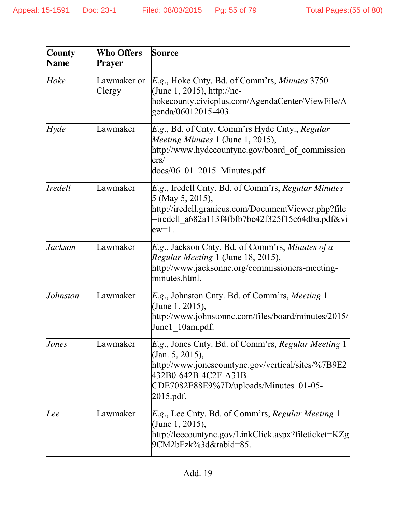| <b>County</b>  | <b>Who Offers</b>     | Source                                                                                                                                                                                                       |
|----------------|-----------------------|--------------------------------------------------------------------------------------------------------------------------------------------------------------------------------------------------------------|
| <b>Name</b>    | Prayer                |                                                                                                                                                                                                              |
| Hoke           | Lawmaker or<br>Clergy | E.g., Hoke Cnty. Bd. of Comm'rs, Minutes 3750<br>(June 1, 2015), http://nc-<br>hokecounty.civicplus.com/AgendaCenter/ViewFile/A<br>genda/06012015-403.                                                       |
| Hyde           | Lawmaker              | <i>E.g.</i> , Bd. of Cnty. Comm'rs Hyde Cnty., <i>Regular</i><br>Meeting Minutes 1 (June 1, 2015),<br>http://www.hydecountync.gov/board of commission<br>ers/<br>docs/06 01_2015_Minutes.pdf.                |
| <i>Iredell</i> | Lawmaker              | E.g., Iredell Cnty. Bd. of Comm'rs, Regular Minutes<br>5 (May 5, 2015),<br>http://iredell.granicus.com/DocumentViewer.php?file<br>=iredell a682a113f4fbfb7bc42f325f15c64dba.pdf&vi<br>$ew=1$ .               |
| Jackson        | Lawmaker              | E.g., Jackson Cnty. Bd. of Comm'rs, Minutes of a<br>Regular Meeting 1 (June 18, 2015),<br>http://www.jacksonnc.org/commissioners-meeting-<br>minutes.html.                                                   |
| Johnston       | Lawmaker              | E.g., Johnston Cnty. Bd. of Comm'rs, Meeting 1<br>(June 1, 2015),<br>http://www.johnstonnc.com/files/board/minutes/2015/<br>June1 10am.pdf.                                                                  |
| Jones          | Lawmaker              | E.g., Jones Cnty. Bd. of Comm'rs, Regular Meeting 1<br>(Jan. 5, 2015),<br>http://www.jonescountync.gov/vertical/sites/%7B9E2<br>432B0-642B-4C2F-A31B-<br>CDE7082E88E9%7D/uploads/Minutes 01-05-<br>2015.pdf. |
| Lee            | Lawmaker              | <i>E.g.</i> , Lee Cnty. Bd. of Comm'rs, <i>Regular Meeting</i> 1<br>(June 1, 2015),<br>http://leecountync.gov/LinkClick.aspx?fileticket=KZg<br>9CM2bFzk%3d&tabid=85.                                         |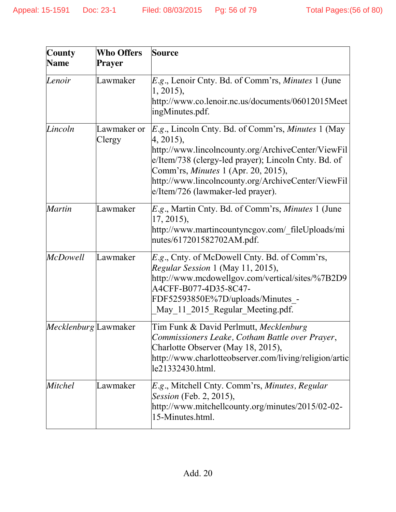| <b>County</b><br><b>Name</b> | <b>Who Offers</b><br><b>Prayer</b> | <b>Source</b>                                                                                                                                                                                                                                                                                                                         |
|------------------------------|------------------------------------|---------------------------------------------------------------------------------------------------------------------------------------------------------------------------------------------------------------------------------------------------------------------------------------------------------------------------------------|
| Lenoir                       | Lawmaker                           | <i>E.g.</i> , Lenoir Cnty. Bd. of Comm'rs, <i>Minutes</i> 1 (June<br>$1, 2015$ ,<br>http://www.co.lenoir.nc.us/documents/06012015Meet<br>ingMinutes.pdf.                                                                                                                                                                              |
| Lincoln                      | Lawmaker or<br>Clergy              | <i>E.g.</i> , Lincoln Cnty. Bd. of Comm'rs, <i>Minutes</i> 1 (May<br>4, 2015),<br>http://www.lincolncounty.org/ArchiveCenter/ViewFil<br>e/Item/738 (clergy-led prayer); Lincoln Cnty. Bd. of<br>Comm'rs, <i>Minutes</i> 1 (Apr. 20, 2015),<br>http://www.lincolncounty.org/ArchiveCenter/ViewFil<br>e/Item/726 (lawmaker-led prayer). |
| <b>Martin</b>                | Lawmaker                           | E.g., Martin Cnty. Bd. of Comm'rs, Minutes 1 (June<br>$17, 2015$ ,<br>http://www.martincountyncgov.com/ fileUploads/mi<br>nutes/617201582702AM.pdf.                                                                                                                                                                                   |
| <b>McDowell</b>              | Lawmaker                           | E.g., Cnty. of McDowell Cnty. Bd. of Comm'rs,<br>Regular Session 1 (May 11, 2015),<br>http://www.mcdowellgov.com/vertical/sites/%7B2D9<br>A4CFF-B077-4D35-8C47-<br>FDF52593850E%7D/uploads/Minutes -<br>May 11 2015 Regular Meeting.pdf.                                                                                              |
| <i>Mecklenburg</i> Lawmaker  |                                    | Tim Funk & David Perlmutt, Mecklenburg<br>Commissioners Leake, Cotham Battle over Prayer,<br>Charlotte Observer (May 18, 2015),<br>http://www.charlotteobserver.com/living/religion/artic<br>le21332430.html.                                                                                                                         |
| <b>Mitchel</b>               | Lawmaker                           | E.g., Mitchell Cnty. Comm'rs, Minutes, Regular<br><i>Session</i> (Feb. 2, 2015),<br>http://www.mitchellcounty.org/minutes/2015/02-02-<br>15-Minutes.html.                                                                                                                                                                             |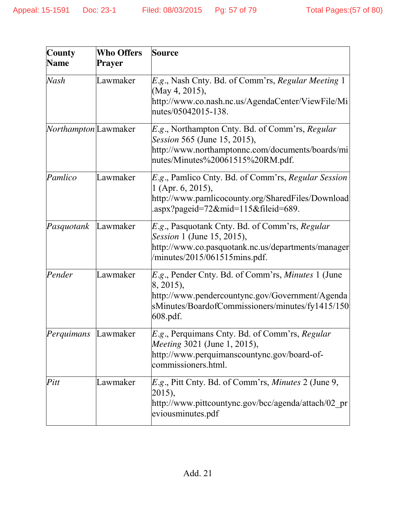| <b>County</b>               | <b>Who Offers</b> | Source                                                                                                                                                                                            |
|-----------------------------|-------------------|---------------------------------------------------------------------------------------------------------------------------------------------------------------------------------------------------|
| <b>Name</b>                 | Prayer            |                                                                                                                                                                                                   |
| Nash                        | Lawmaker          | E.g., Nash Cnty. Bd. of Comm'rs, Regular Meeting 1<br>(May 4, 2015),<br>http://www.co.nash.nc.us/AgendaCenter/ViewFile/Mi<br>nutes/05042015-138.                                                  |
| <i>Northampton</i> Lawmaker |                   | E.g., Northampton Cnty. Bd. of Comm'rs, Regular<br>Session 565 (June 15, 2015),<br>http://www.northamptonnc.com/documents/boards/mi<br>nutes/Minutes%20061515%20RM.pdf.                           |
| Pamlico                     | Lawmaker          | E.g., Pamlico Cnty. Bd. of Comm'rs, Regular Session<br>1 (Apr. 6, 2015),<br>http://www.pamlicocounty.org/SharedFiles/Download<br>.aspx?pageid=72∣=115&fileid=689.                                 |
| Pasquotank                  | Lawmaker          | <i>E.g.</i> , Pasquotank Cnty. Bd. of Comm'rs, Regular<br><i>Session</i> 1 (June 15, 2015),<br>http://www.co.pasquotank.nc.us/departments/manager<br>/minutes/2015/061515mins.pdf.                |
| Pender                      | Lawmaker          | <i>E.g.</i> , Pender Cnty. Bd. of Comm'rs, <i>Minutes</i> 1 (June<br>8, 2015),<br>http://www.pendercountync.gov/Government/Agenda<br>sMinutes/BoardofCommissioners/minutes/fy1415/150<br>608.pdf. |
| Perquimans                  | Lawmaker          | E.g., Perquimans Cnty. Bd. of Comm'rs, Regular<br><i>Meeting</i> 3021 (June 1, 2015),<br>http://www.perquimanscountync.gov/board-of-<br>commissioners.html.                                       |
| Pitt                        | Lawmaker          | E.g., Pitt Cnty. Bd. of Comm'rs, Minutes 2 (June 9,<br>2015),<br>http://www.pittcountync.gov/bcc/agenda/attach/02 pr<br>eviousminutes.pdf                                                         |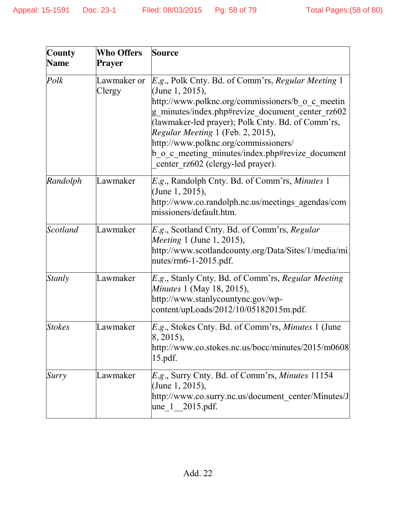| <b>County</b><br><b>Name</b> | <b>Who Offers</b><br>Prayer | <b>Source</b>                                                                                                                                                                                                                                                                                                                                                                                                          |
|------------------------------|-----------------------------|------------------------------------------------------------------------------------------------------------------------------------------------------------------------------------------------------------------------------------------------------------------------------------------------------------------------------------------------------------------------------------------------------------------------|
| Polk                         | Lawmaker or<br>Clergy       | <i>E.g.</i> , Polk Cnty. Bd. of Comm'rs, <i>Regular Meeting</i> 1<br>(June 1, 2015),<br>http://www.polknc.org/commissioners/b o c meetin<br>g minutes/index.php#revize document center rz602<br>(lawmaker-led prayer); Polk Cnty. Bd. of Comm'rs,<br>Regular Meeting 1 (Feb. 2, 2015),<br>http://www.polknc.org/commissioners/<br>b o c meeting minutes/index.php#revize document<br>center rz602 (clergy-led prayer). |
| Randolph                     | Lawmaker                    | <i>E.g.</i> , Randolph Cnty. Bd. of Comm'rs, <i>Minutes</i> 1<br>(June 1, 2015),<br>http://www.co.randolph.nc.us/meetings_agendas/com<br>missioners/default.htm.                                                                                                                                                                                                                                                       |
| <b>Scotland</b>              | Lawmaker                    | E.g., Scotland Cnty. Bd. of Comm'rs, Regular<br><i>Meeting</i> 1 (June 1, 2015),<br>http://www.scotlandcounty.org/Data/Sites/1/media/mi<br>nutes/rm6-1-2015.pdf.                                                                                                                                                                                                                                                       |
| <b>Stanly</b>                | Lawmaker                    | E.g., Stanly Cnty. Bd. of Comm'rs, Regular Meeting<br><i>Minutes</i> 1 (May 18, 2015),<br>http://www.stanlycountync.gov/wp-<br>content/upLoads/2012/10/05182015m.pdf.                                                                                                                                                                                                                                                  |
| <b>Stokes</b>                | Lawmaker                    | <i>E.g.</i> , Stokes Cnty. Bd. of Comm'rs, <i>Minutes</i> 1 (June<br>$ 8, 2015$ ,<br>http://www.co.stokes.nc.us/bocc/minutes/2015/m0608<br>$15.pdf$ .                                                                                                                                                                                                                                                                  |
| Surry                        | Lawmaker                    | E.g., Surry Cnty. Bd. of Comm'rs, Minutes 11154<br>(June 1, 2015),<br>http://www.co.surry.nc.us/document center/Minutes/J<br>une 1 2015.pdf.                                                                                                                                                                                                                                                                           |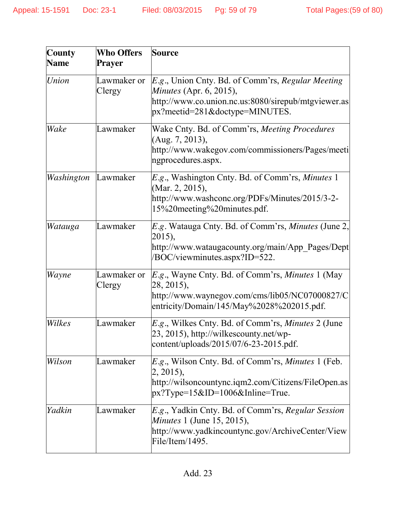| <b>County</b> | <b>Who Offers</b>     | <b>Source</b>                                                                                                                                                                        |
|---------------|-----------------------|--------------------------------------------------------------------------------------------------------------------------------------------------------------------------------------|
| <b>Name</b>   | Prayer                |                                                                                                                                                                                      |
| Union         | Lawmaker or<br>Clergy | <i>E.g.</i> , Union Cnty. Bd. of Comm'rs, Regular Meeting<br><i>Minutes</i> (Apr. 6, 2015),<br>http://www.co.union.nc.us:8080/sirepub/mtgviewer.as<br>px?meetid=281&doctype=MINUTES. |
| Wake          | Lawmaker              | Wake Cnty. Bd. of Comm'rs, Meeting Procedures<br>(Aug. 7, 2013),<br>http://www.wakegov.com/commissioners/Pages/meeti<br>ngprocedures.aspx.                                           |
| Washington    | Lawmaker              | <i>E.g.</i> , Washington Cnty. Bd. of Comm'rs, <i>Minutes</i> 1<br>(Mar. 2, 2015),<br>http://www.washconc.org/PDFs/Minutes/2015/3-2-<br>15%20meeting%20minutes.pdf.                  |
| Watauga       | Lawmaker              | E.g. Watauga Cnty. Bd. of Comm'rs, Minutes (June 2,<br>2015),<br>http://www.wataugacounty.org/main/App Pages/Dept<br>/BOC/viewminutes.aspx?ID=522.                                   |
| Wayne         | Lawmaker or<br>Clergy | <i>E.g.</i> , Wayne Cnty. Bd. of Comm'rs, <i>Minutes</i> 1 (May<br>28, 2015),<br>http://www.waynegov.com/cms/lib05/NC07000827/C<br>entricity/Domain/145/May%2028%202015.pdf.         |
| Wilkes        | Lawmaker              | <i>E.g.</i> , Wilkes Cnty. Bd. of Comm'rs, <i>Minutes</i> 2 (June<br>23, 2015), http://wilkescounty.net/wp-<br>content/uploads/2015/07/6-23-2015.pdf.                                |
| Wilson        | Lawmaker              | E.g., Wilson Cnty. Bd. of Comm'rs, Minutes 1 (Feb.<br>$ 2, 2015$ ,<br>http://wilsoncountync.iqm2.com/Citizens/FileOpen.as<br>$px?Type=15&ID=1006&Inline=True.$                       |
| Yadkin        | Lawmaker              | E.g., Yadkin Cnty. Bd. of Comm'rs, Regular Session<br><i>Minutes</i> 1 (June 15, 2015),<br>http://www.yadkincountync.gov/ArchiveCenter/View<br>File/Item/1495.                       |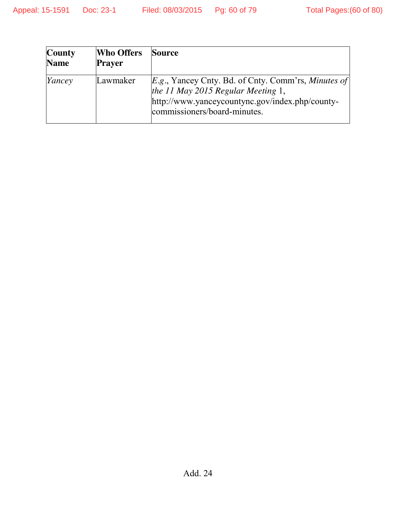| <b>County</b><br><b>Name</b> | <b>Who Offers</b><br><b>Prayer</b> | Source                                                                                                                                                                         |
|------------------------------|------------------------------------|--------------------------------------------------------------------------------------------------------------------------------------------------------------------------------|
| Yancey                       | Lawmaker                           | $E.g.,$ Yancey Cnty. Bd. of Cnty. Comm'rs, Minutes of<br>the 11 May 2015 Regular Meeting 1,<br>http://www.yanceycountync.gov/index.php/county-<br>commissioners/board-minutes. |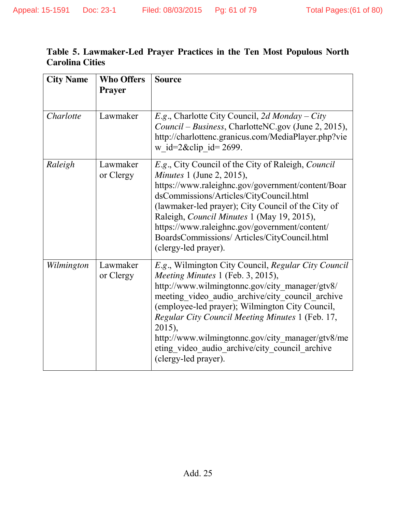| Table 5. Lawmaker-Led Prayer Practices in the Ten Most Populous North |  |  |  |  |
|-----------------------------------------------------------------------|--|--|--|--|
| <b>Carolina Cities</b>                                                |  |  |  |  |

| <b>City Name</b> | <b>Who Offers</b><br><b>Prayer</b> | <b>Source</b>                                                                                                                                                                                                                                                                                                                                                                                                                                 |
|------------------|------------------------------------|-----------------------------------------------------------------------------------------------------------------------------------------------------------------------------------------------------------------------------------------------------------------------------------------------------------------------------------------------------------------------------------------------------------------------------------------------|
| Charlotte        | Lawmaker                           | $E.g.,$ Charlotte City Council, 2d Monday – City<br>Council – Business, CharlotteNC.gov (June 2, 2015),<br>http://charlottenc.granicus.com/MediaPlayer.php?vie<br>w_id= $2\&$ clip id= 2699.                                                                                                                                                                                                                                                  |
| Raleigh          | Lawmaker<br>or Clergy              | E.g., City Council of the City of Raleigh, <i>Council</i><br><i>Minutes</i> 1 (June 2, 2015),<br>https://www.raleighnc.gov/government/content/Boar<br>dsCommissions/Articles/CityCouncil.html<br>(lawmaker-led prayer); City Council of the City of<br>Raleigh, Council Minutes 1 (May 19, 2015),<br>https://www.raleighnc.gov/government/content/<br>BoardsCommissions/ Articles/CityCouncil.html<br>(clergy-led prayer).                    |
| Wilmington       | Lawmaker<br>or Clergy              | E.g., Wilmington City Council, Regular City Council<br>Meeting Minutes 1 (Feb. 3, 2015),<br>http://www.wilmingtonnc.gov/city manager/gtv8/<br>meeting video audio archive/city council archive<br>(employee-led prayer); Wilmington City Council,<br>Regular City Council Meeting Minutes 1 (Feb. 17,<br>2015),<br>http://www.wilmingtonnc.gov/city manager/gtv8/me<br>eting video audio archive/city council archive<br>(clergy-led prayer). |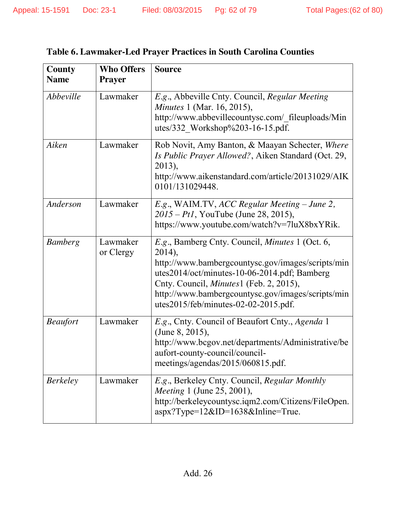| County          | <b>Who Offers</b>     | <b>Source</b>                                                                                                                                                                                                                                                                                                      |  |
|-----------------|-----------------------|--------------------------------------------------------------------------------------------------------------------------------------------------------------------------------------------------------------------------------------------------------------------------------------------------------------------|--|
| <b>Name</b>     | <b>Prayer</b>         |                                                                                                                                                                                                                                                                                                                    |  |
| Abbeville       | Lawmaker              | E.g., Abbeville Cnty. Council, Regular Meeting<br><i>Minutes</i> 1 (Mar. 16, 2015),<br>http://www.abbevillecountysc.com/ fileuploads/Min<br>utes/332 Workshop%203-16-15.pdf.                                                                                                                                       |  |
| Aiken           | Lawmaker              | Rob Novit, Amy Banton, & Maayan Schecter, Where<br>Is Public Prayer Allowed?, Aiken Standard (Oct. 29,<br>2013),<br>http://www.aikenstandard.com/article/20131029/AIK<br>0101/131029448.                                                                                                                           |  |
| Anderson        | Lawmaker              | E.g., WAIM.TV, ACC Regular Meeting – June 2,<br>2015 – Pt1, YouTube (June 28, 2015),<br>https://www.youtube.com/watch?v=7luX8bxYRik.                                                                                                                                                                               |  |
| <b>Bamberg</b>  | Lawmaker<br>or Clergy | E.g., Bamberg Cnty. Council, Minutes 1 (Oct. 6,<br>2014),<br>http://www.bambergcountysc.gov/images/scripts/min<br>utes2014/oct/minutes-10-06-2014.pdf; Bamberg<br>Cnty. Council, <i>Minutes</i> 1 (Feb. 2, 2015),<br>http://www.bambergcountysc.gov/images/scripts/min<br>utes $2015$ /feb/minutes-02-02-2015.pdf. |  |
| <b>Beaufort</b> | Lawmaker              | E.g., Cnty. Council of Beaufort Cnty., Agenda 1<br>(June 8, 2015),<br>http://www.bcgov.net/departments/Administrative/be<br>aufort-county-council/council-<br>meetings/agendas/2015/060815.pdf.                                                                                                                    |  |
| <i>Berkeley</i> | Lawmaker              | E.g., Berkeley Cnty. Council, Regular Monthly<br>Meeting 1 (June 25, 2001),<br>http://berkeleycountysc.iqm2.com/Citizens/FileOpen.<br>aspx?Type=12&ID=1638&Inline=True.                                                                                                                                            |  |

## **Table 6. Lawmaker-Led Prayer Practices in South Carolina Counties**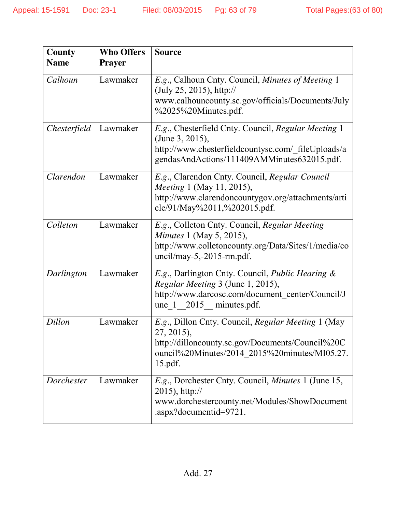| County       | <b>Who Offers</b> | <b>Source</b>                                                                                                                                                                       |  |
|--------------|-------------------|-------------------------------------------------------------------------------------------------------------------------------------------------------------------------------------|--|
| <b>Name</b>  | <b>Prayer</b>     |                                                                                                                                                                                     |  |
| Calhoun      | Lawmaker          | E.g., Calhoun Cnty. Council, Minutes of Meeting 1<br>(July 25, 2015), http://<br>www.calhouncounty.sc.gov/officials/Documents/July<br>%2025%20Minutes.pdf.                          |  |
| Chesterfield | Lawmaker          | E.g., Chesterfield Cnty. Council, Regular Meeting 1<br>(June 3, 2015),<br>http://www.chesterfieldcountysc.com/_fileUploads/a<br>gendasAndActions/111409AMMinutes632015.pdf.         |  |
| Clarendon    | Lawmaker          | E.g., Clarendon Cnty. Council, Regular Council<br><i>Meeting</i> 1 (May 11, 2015),<br>http://www.clarendoncountygov.org/attachments/arti<br>cle/91/May%2011,%202015.pdf.            |  |
| Colleton     | Lawmaker          | E.g., Colleton Cnty. Council, Regular Meeting<br><i>Minutes</i> 1 (May 5, 2015),<br>http://www.colletoncounty.org/Data/Sites/1/media/co<br>$uncil/may-5,-2015-rm.pdf.$              |  |
| Darlington   | Lawmaker          | E.g., Darlington Cnty. Council, Public Hearing &<br>Regular Meeting 3 (June 1, 2015),<br>http://www.darcosc.com/document center/Council/J<br>$une_1$ 2015 minutes.pdf.              |  |
| Dillon       | Lawmaker          | E.g., Dillon Cnty. Council, Regular Meeting 1 (May<br>27, 2015),<br>http://dilloncounty.sc.gov/Documents/Council%20C<br>ouncil%20Minutes/2014 2015%20minutes/MI05.27.<br>$15.pdf$ . |  |
| Dorchester   | Lawmaker          | <i>E.g.</i> , Dorchester Cnty. Council, <i>Minutes</i> 1 (June 15,<br>$2015$ , http://<br>www.dorchestercounty.net/Modules/ShowDocument<br>.aspx?documentid=9721.                   |  |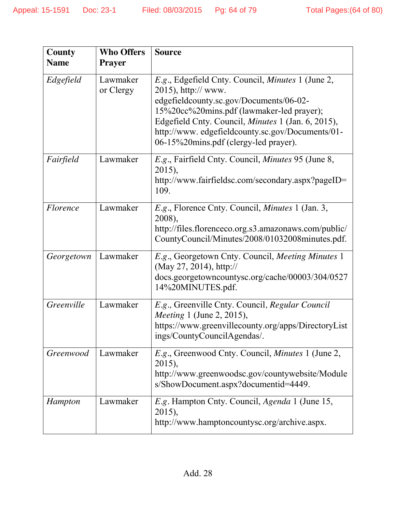| County<br><b>Name</b> | <b>Who Offers</b><br><b>Prayer</b> | <b>Source</b>                                                                                                                                                                                                                                                                                                        |  |
|-----------------------|------------------------------------|----------------------------------------------------------------------------------------------------------------------------------------------------------------------------------------------------------------------------------------------------------------------------------------------------------------------|--|
| Edgefield             | Lawmaker<br>or Clergy              | E.g., Edgefield Cnty. Council, Minutes 1 (June 2,<br>$2015$ , http:// www.<br>edgefieldcounty.sc.gov/Documents/06-02-<br>15%20cc%20mins.pdf (lawmaker-led prayer);<br>Edgefield Cnty. Council, Minutes 1 (Jan. 6, 2015),<br>http://www.edgefieldcounty.sc.gov/Documents/01-<br>06-15%20mins.pdf (clergy-led prayer). |  |
| Fairfield             | Lawmaker                           | E.g., Fairfield Cnty. Council, Minutes 95 (June 8,<br>2015),<br>http://www.fairfieldsc.com/secondary.aspx?pageID=<br>109.                                                                                                                                                                                            |  |
| <i>Florence</i>       | Lawmaker                           | E.g., Florence Cnty. Council, <i>Minutes</i> 1 (Jan. 3,<br>2008),<br>http://files.florenceco.org.s3.amazonaws.com/public/<br>CountyCouncil/Minutes/2008/01032008minutes.pdf.                                                                                                                                         |  |
| Georgetown            | Lawmaker                           | E.g., Georgetown Cnty. Council, Meeting Minutes 1<br>(May 27, 2014), http://<br>docs.georgetowncountysc.org/cache/00003/304/0527<br>14%20MINUTES.pdf.                                                                                                                                                                |  |
| Greenville            | Lawmaker                           | E.g., Greenville Cnty. Council, Regular Council<br><i>Meeting</i> 1 (June 2, 2015),<br>https://www.greenvillecounty.org/apps/DirectoryList<br>ings/CountyCouncilAgendas/.                                                                                                                                            |  |
| Greenwood             | Lawmaker                           | E.g., Greenwood Cnty. Council, Minutes 1 (June 2,<br>2015),<br>http://www.greenwoodsc.gov/countywebsite/Module<br>s/ShowDocument.aspx?documentid=4449.                                                                                                                                                               |  |
| Hampton               | Lawmaker                           | E.g. Hampton Cnty. Council, Agenda 1 (June 15,<br>2015),<br>http://www.hamptoncountysc.org/archive.aspx.                                                                                                                                                                                                             |  |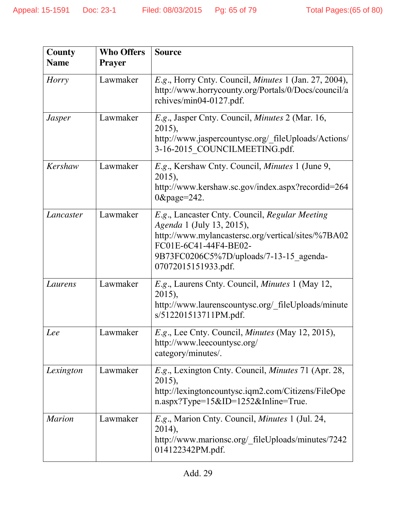| County        | <b>Who Offers</b> | <b>Source</b>                                                                                                                                                                                                                |  |
|---------------|-------------------|------------------------------------------------------------------------------------------------------------------------------------------------------------------------------------------------------------------------------|--|
| <b>Name</b>   | <b>Prayer</b>     |                                                                                                                                                                                                                              |  |
| Horry         | Lawmaker          | E.g., Horry Cnty. Council, <i>Minutes</i> 1 (Jan. 27, 2004),<br>http://www.horrycounty.org/Portals/0/Docs/council/a<br>rchives/min04-0127.pdf.                                                                               |  |
| <b>Jasper</b> | Lawmaker          | E.g., Jasper Cnty. Council, <i>Minutes</i> 2 (Mar. 16,<br>2015),<br>http://www.jaspercountysc.org/ fileUploads/Actions/<br>3-16-2015 COUNCILMEETING.pdf.                                                                     |  |
| Kershaw       | Lawmaker          | E.g., Kershaw Cnty. Council, <i>Minutes</i> 1 (June 9,<br>2015),<br>http://www.kershaw.sc.gov/index.aspx?recordid=264<br>$0\&page=242.$                                                                                      |  |
| Lancaster     | Lawmaker          | E.g., Lancaster Cnty. Council, Regular Meeting<br>Agenda 1 (July 13, 2015),<br>http://www.mylancastersc.org/vertical/sites/%7BA02<br>FC01E-6C41-44F4-BE02-<br>9B73FC0206C5%7D/uploads/7-13-15_agenda-<br>07072015151933.pdf. |  |
| Laurens       | Lawmaker          | E.g., Laurens Cnty. Council, Minutes 1 (May 12,<br>2015),<br>http://www.laurenscountysc.org/_fileUploads/minute<br>s/512201513711PM.pdf.                                                                                     |  |
| Lee           | Lawmaker          | E.g., Lee Cnty. Council, Minutes (May 12, 2015),<br>http://www.leecountysc.org/<br>category/minutes/.                                                                                                                        |  |
| Lexington     | Lawmaker          | E.g., Lexington Cnty. Council, <i>Minutes</i> 71 (Apr. 28,<br>2015),<br>http://lexingtoncountysc.iqm2.com/Citizens/FileOpe<br>$n.$ aspx?Type= $15&ID=1252&Inline=True$ .                                                     |  |
| <b>Marion</b> | Lawmaker          | E.g., Marion Cnty. Council, <i>Minutes</i> 1 (Jul. 24,<br>2014),<br>http://www.marionsc.org/_fileUploads/minutes/7242<br>014122342PM.pdf.                                                                                    |  |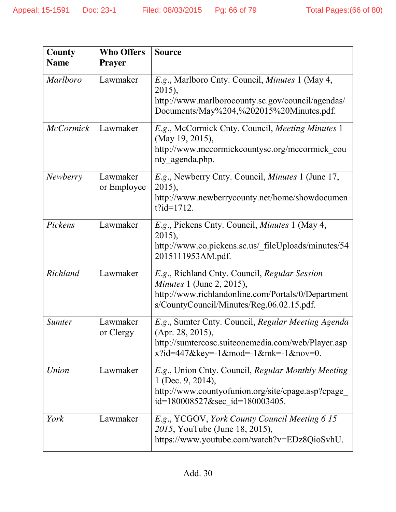| County<br><b>Name</b> | <b>Who Offers</b><br><b>Prayer</b> | <b>Source</b>                                                                                                                                                                        |  |
|-----------------------|------------------------------------|--------------------------------------------------------------------------------------------------------------------------------------------------------------------------------------|--|
| <b>Marlboro</b>       | Lawmaker                           | E.g., Marlboro Cnty. Council, Minutes 1 (May 4,<br>2015),<br>http://www.marlborocounty.sc.gov/council/agendas/<br>Documents/May%204,%202015%20Minutes.pdf.                           |  |
| <b>McCormick</b>      | Lawmaker                           | E.g., McCormick Cnty. Council, Meeting Minutes 1<br>(May 19, 2015),<br>http://www.mccormickcountysc.org/mccormick cou<br>nty agenda.php.                                             |  |
| Newberry              | Lawmaker<br>or Employee            | E.g., Newberry Cnty. Council, <i>Minutes</i> 1 (June 17,<br>2015),<br>http://www.newberrycounty.net/home/showdocumen<br>$t$ ?id=1712.                                                |  |
| Pickens               | Lawmaker                           | E.g., Pickens Cnty. Council, Minutes 1 (May 4,<br>2015),<br>http://www.co.pickens.sc.us/_fileUploads/minutes/54<br>2015111953AM.pdf.                                                 |  |
| Richland              | Lawmaker                           | E.g., Richland Cnty. Council, Regular Session<br><i>Minutes</i> 1 (June 2, 2015),<br>http://www.richlandonline.com/Portals/0/Department<br>s/CountyCouncil/Minutes/Reg.06.02.15.pdf. |  |
| <b>Sumter</b>         | Lawmaker<br>or Clergy              | E.g., Sumter Cnty. Council, Regular Meeting Agenda<br>(Apr. 28, 2015),<br>http://sumtercosc.suiteonemedia.com/web/Player.asp<br>$x$ ?id=447&key=-1&mod=-1&mk=-1&nov=0.               |  |
| Union                 | Lawmaker                           | E.g., Union Cnty. Council, Regular Monthly Meeting<br>1 (Dec. 9, 2014),<br>http://www.countyofunion.org/site/cpage.asp?cpage_<br>id=180008527&sec_id=180003405.                      |  |
| York                  | Lawmaker                           | E.g., YCGOV, York County Council Meeting 6 15<br>2015, YouTube (June 18, 2015),<br>https://www.youtube.com/watch?v=EDz8QioSvhU.                                                      |  |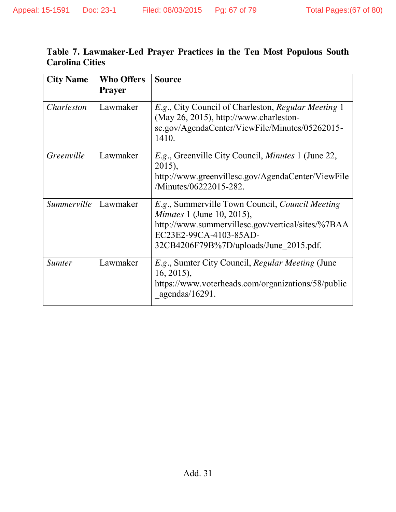| Table 7. Lawmaker-Led Prayer Practices in the Ten Most Populous South |  |  |  |  |
|-----------------------------------------------------------------------|--|--|--|--|
| <b>Carolina Cities</b>                                                |  |  |  |  |

| <b>City Name</b> | <b>Who Offers</b> | <b>Source</b>                                                                                                                                                                                                 |
|------------------|-------------------|---------------------------------------------------------------------------------------------------------------------------------------------------------------------------------------------------------------|
|                  | <b>Prayer</b>     |                                                                                                                                                                                                               |
| Charleston       | Lawmaker          | E.g., City Council of Charleston, Regular Meeting 1<br>(May 26, 2015), http://www.charleston-<br>sc.gov/AgendaCenter/ViewFile/Minutes/05262015-<br>1410.                                                      |
| Greenville       | Lawmaker          | <i>E.g.</i> , Greenville City Council, <i>Minutes</i> 1 (June 22,<br>2015),<br>http://www.greenvillesc.gov/AgendaCenter/ViewFile<br>/Minutes/06222015-282.                                                    |
| Summerville      | Lawmaker          | E.g., Summerville Town Council, Council Meeting<br><i>Minutes</i> 1 (June 10, 2015),<br>http://www.summervillesc.gov/vertical/sites/%7BAA<br>EC23E2-99CA-4103-85AD-<br>32CB4206F79B%7D/uploads/June 2015.pdf. |
| <b>Sumter</b>    | Lawmaker          | <i>E.g.</i> , Sumter City Council, <i>Regular Meeting</i> (June<br>$16, 2015$ ,<br>https://www.voterheads.com/organizations/58/public<br>agendas/ $16291$ .                                                   |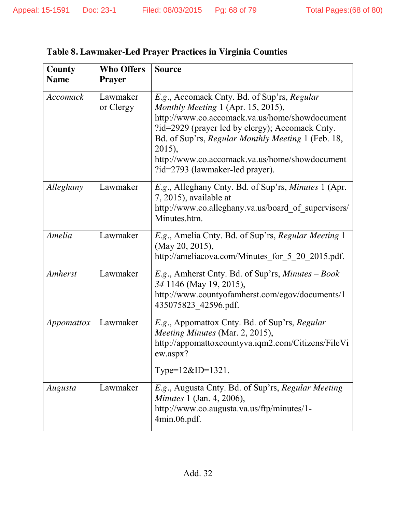| County<br><b>Name</b> | <b>Who Offers</b><br><b>Prayer</b> | <b>Source</b>                                                                                                                                                                                                                                                                                                                               |  |
|-----------------------|------------------------------------|---------------------------------------------------------------------------------------------------------------------------------------------------------------------------------------------------------------------------------------------------------------------------------------------------------------------------------------------|--|
| Accomack              | Lawmaker<br>or Clergy              | E.g., Accomack Cnty. Bd. of Sup'rs, Regular<br>Monthly Meeting 1 (Apr. 15, 2015),<br>http://www.co.accomack.va.us/home/showdocument<br>?id=2929 (prayer led by clergy); Accomack Cnty.<br>Bd. of Sup'rs, Regular Monthly Meeting 1 (Feb. 18,<br>2015),<br>http://www.co.accomack.va.us/home/showdocument<br>?id=2793 (lawmaker-led prayer). |  |
| Alleghany             | Lawmaker                           | E.g., Alleghany Cnty. Bd. of Sup'rs, Minutes 1 (Apr.<br>7, 2015), available at<br>http://www.co.alleghany.va.us/board of supervisors/<br>Minutes.htm.                                                                                                                                                                                       |  |
| Amelia                | Lawmaker                           | E.g., Amelia Cnty. Bd. of Sup'rs, Regular Meeting 1<br>(May 20, 2015),<br>http://ameliacova.com/Minutes_for_5_20_2015.pdf.                                                                                                                                                                                                                  |  |
| <b>Amherst</b>        | Lawmaker                           | <i>E.g.</i> , Amherst Cnty. Bd. of Sup'rs, <i>Minutes – Book</i><br>34 1146 (May 19, 2015),<br>http://www.countyofamherst.com/egov/documents/1<br>435075823 42596.pdf.                                                                                                                                                                      |  |
| Appomattox            | Lawmaker                           | E.g., Appomattox Cnty. Bd. of Sup'rs, Regular<br>Meeting Minutes (Mar. 2, 2015),<br>http://appomattoxcountyva.iqm2.com/Citizens/FileVi<br>ew.aspx?<br>Type= $12&ID=1321$ .                                                                                                                                                                  |  |
| Augusta               | Lawmaker                           | E.g., Augusta Cnty. Bd. of Sup'rs, Regular Meeting<br><i>Minutes</i> 1 (Jan. 4, 2006),<br>http://www.co.augusta.va.us/ftp/minutes/1-<br>4min.06.pdf.                                                                                                                                                                                        |  |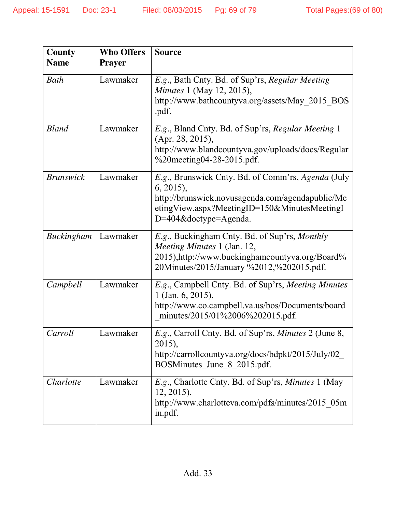| <b>County</b>     | <b>Who Offers</b> | <b>Source</b>                                                                                                                                                                                  |  |
|-------------------|-------------------|------------------------------------------------------------------------------------------------------------------------------------------------------------------------------------------------|--|
| <b>Name</b>       | <b>Prayer</b>     |                                                                                                                                                                                                |  |
| Bath              | Lawmaker          | E.g., Bath Cnty. Bd. of Sup'rs, Regular Meeting<br><i>Minutes</i> 1 (May 12, 2015),<br>http://www.bathcountyva.org/assets/May 2015 BOS<br>.pdf.                                                |  |
| <b>Bland</b>      | Lawmaker          | E.g., Bland Cnty. Bd. of Sup'rs, Regular Meeting 1<br>(Apr. 28, 2015),<br>http://www.blandcountyva.gov/uploads/docs/Regular<br>$\%$ 20 meeting 04-28-2015 .pdf.                                |  |
| <b>Brunswick</b>  | Lawmaker          | E.g., Brunswick Cnty. Bd. of Comm'rs, Agenda (July<br>$6, 2015$ ,<br>http://brunswick.novusagenda.com/agendapublic/Me<br>etingView.aspx?MeetingID=150&MinutesMeetingI<br>D=404&doctype=Agenda. |  |
| <b>Buckingham</b> | Lawmaker          | E.g., Buckingham Cnty. Bd. of Sup'rs, Monthly<br>Meeting Minutes 1 (Jan. 12,<br>2015), http://www.buckinghamcountyva.org/Board%<br>20Minutes/2015/January %2012,%202015.pdf.                   |  |
| Campbell          | Lawmaker          | E.g., Campbell Cnty. Bd. of Sup'rs, Meeting Minutes<br>$1$ (Jan. 6, 2015),<br>http://www.co.campbell.va.us/bos/Documents/board<br>minutes/2015/01%2006%202015.pdf.                             |  |
| Carroll           | Lawmaker          | E.g., Carroll Cnty. Bd. of Sup'rs, Minutes 2 (June 8,<br>2015),<br>http://carrollcountyva.org/docs/bdpkt/2015/July/02<br>BOSMinutes June 8 2015.pdf.                                           |  |
| Charlotte         | Lawmaker          | <i>E.g.</i> , Charlotte Cnty. Bd. of Sup'rs, <i>Minutes</i> 1 (May<br>$12, 2015$ ,<br>http://www.charlotteva.com/pdfs/minutes/2015 05m<br>in.pdf.                                              |  |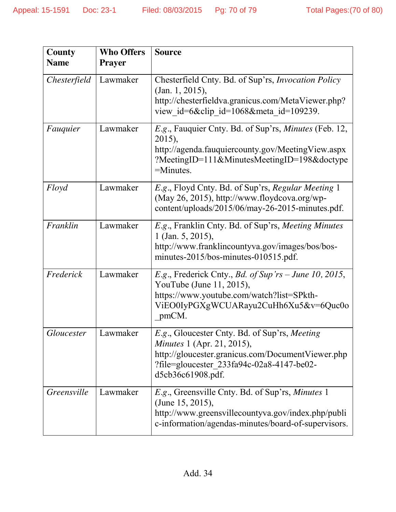| County            | <b>Who Offers</b> | <b>Source</b>                                                                                                                                                                                             |  |
|-------------------|-------------------|-----------------------------------------------------------------------------------------------------------------------------------------------------------------------------------------------------------|--|
| <b>Name</b>       | <b>Prayer</b>     |                                                                                                                                                                                                           |  |
| Chesterfield      | Lawmaker          | Chesterfield Cnty. Bd. of Sup'rs, <i>Invocation Policy</i><br>(Jan. 1, 2015),<br>http://chesterfieldva.granicus.com/MetaViewer.php?<br>view id=6&clip id=1068&meta id=109239.                             |  |
| Fauquier          | Lawmaker          | <i>E.g.</i> , Fauquier Cnty. Bd. of Sup'rs, <i>Minutes</i> (Feb. 12,<br>2015),<br>http://agenda.fauquiercounty.gov/MeetingView.aspx<br>?MeetingID=111&MinutesMeetingID=198&doctype<br>$=$ Minutes.        |  |
| Floyd             | Lawmaker          | E.g., Floyd Cnty. Bd. of Sup'rs, Regular Meeting 1<br>(May 26, 2015), http://www.floydcova.org/wp-<br>content/uploads/2015/06/may-26-2015-minutes.pdf.                                                    |  |
| Franklin          | Lawmaker          | E.g., Franklin Cnty. Bd. of Sup'rs, Meeting Minutes<br>1 (Jan. 5, 2015),<br>http://www.franklincountyva.gov/images/bos/bos-<br>minutes-2015/bos-minutes-010515.pdf.                                       |  |
| Frederick         | Lawmaker          | E.g., Frederick Cnty., <i>Bd. of Sup'rs – June 10, 2015</i> ,<br>YouTube (June 11, 2015),<br>https://www.youtube.com/watch?list=SPkth-<br>ViEO0IyPGXgWCUARayu2CuHh6Xu5&v=6Quc0o<br>pmCM.                  |  |
| <i>Gloucester</i> | Lawmaker          | E.g., Gloucester Cnty. Bd. of Sup'rs, Meeting<br><i>Minutes</i> 1 (Apr. 21, 2015),<br>http://gloucester.granicus.com/DocumentViewer.php<br>?file=gloucester 233fa94c-02a8-4147-be02-<br>d5cb36c61908.pdf. |  |
| Greensville       | Lawmaker          | E.g., Greensville Cnty. Bd. of Sup'rs, Minutes 1<br>(June 15, 2015),<br>http://www.greensvillecountyva.gov/index.php/publi<br>c-information/agendas-minutes/board-of-supervisors.                         |  |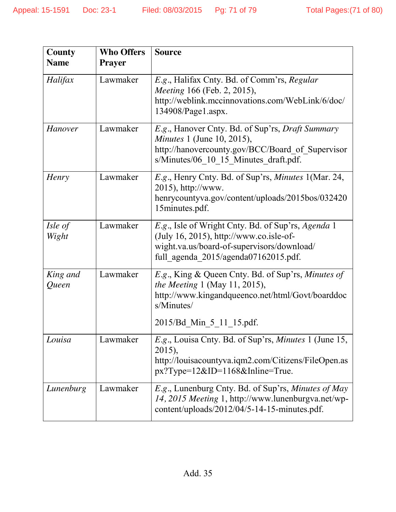| County<br><b>Name</b> | <b>Who Offers</b><br><b>Prayer</b> | <b>Source</b>                                                                                                                                                                                           |
|-----------------------|------------------------------------|---------------------------------------------------------------------------------------------------------------------------------------------------------------------------------------------------------|
| Halifax               | Lawmaker                           | E.g., Halifax Cnty. Bd. of Comm'rs, Regular<br><i>Meeting</i> 166 (Feb. 2, 2015),<br>http://weblink.mccinnovations.com/WebLink/6/doc/<br>134908/Page1.aspx.                                             |
| <b>Hanover</b>        | Lawmaker                           | E.g., Hanover Cnty. Bd. of Sup'rs, <i>Draft Summary</i><br><i>Minutes</i> 1 (June 10, 2015),<br>http://hanovercounty.gov/BCC/Board of Supervisor<br>s/Minutes/06_10_15_Minutes_draft.pdf.               |
| Henry                 | Lawmaker                           | E.g., Henry Cnty. Bd. of Sup'rs, Minutes 1(Mar. 24,<br>2015), http://www.<br>henrycountyva.gov/content/uploads/2015bos/032420<br>15minutes.pdf.                                                         |
| Isle of<br>Wight      | Lawmaker                           | E.g., Isle of Wright Cnty. Bd. of Sup'rs, Agenda 1<br>(July 16, 2015), http://www.co.isle-of-<br>wight.va.us/board-of-supervisors/download/<br>full agenda 2015/agenda07162015.pdf.                     |
| King and<br>Queen     | Lawmaker                           | <i>E.g.</i> , King & Queen Cnty. Bd. of Sup'rs, <i>Minutes of</i><br><i>the Meeting</i> 1 (May 11, 2015),<br>http://www.kingandqueenco.net/html/Govt/boarddoc<br>s/Minutes/<br>2015/Bd_Min_5_11_15.pdf. |
| Louisa                | Lawmaker                           | <i>E.g.</i> , Louisa Cnty. Bd. of Sup'rs, <i>Minutes</i> 1 (June 15,<br>2015),<br>http://louisacountyva.iqm2.com/Citizens/FileOpen.as<br>$px?Type=12&ID=1168&Inline=True.$                              |
| Lunenburg             | Lawmaker                           | <i>E.g.</i> , Lunenburg Cnty. Bd. of Sup'rs, <i>Minutes of May</i><br>14, 2015 Meeting 1, http://www.lunenburgva.net/wp-<br>content/uploads/2012/04/5-14-15-minutes.pdf.                                |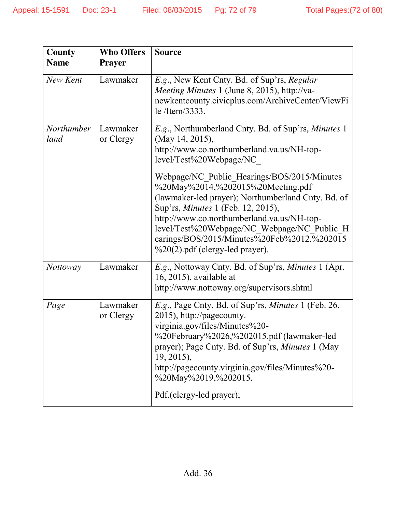| County<br><b>Name</b> | <b>Who Offers</b><br><b>Prayer</b> | <b>Source</b>                                                                                                                                                                                                                                                                                                                                                                                                                                                                                                             |
|-----------------------|------------------------------------|---------------------------------------------------------------------------------------------------------------------------------------------------------------------------------------------------------------------------------------------------------------------------------------------------------------------------------------------------------------------------------------------------------------------------------------------------------------------------------------------------------------------------|
| New Kent              | Lawmaker                           | E.g., New Kent Cnty. Bd. of Sup'rs, Regular<br>Meeting Minutes 1 (June 8, 2015), http://va-<br>newkentcounty.civicplus.com/ArchiveCenter/ViewFi<br>le /Item/3333.                                                                                                                                                                                                                                                                                                                                                         |
| Northumber<br>land    | Lawmaker<br>or Clergy              | E.g., Northumberland Cnty. Bd. of Sup'rs, Minutes 1<br>(May 14, 2015),<br>http://www.co.northumberland.va.us/NH-top-<br>level/Test%20Webpage/NC<br>Webpage/NC_Public_Hearings/BOS/2015/Minutes<br>%20May%2014,%202015%20Meeting.pdf<br>(lawmaker-led prayer); Northumberland Cnty. Bd. of<br>Sup'rs, <i>Minutes</i> 1 (Feb. 12, 2015),<br>http://www.co.northumberland.va.us/NH-top-<br>level/Test%20Webpage/NC Webpage/NC Public H<br>earings/BOS/2015/Minutes%20Feb%2012,%202015<br>$\%20(2)$ .pdf (clergy-led prayer). |
| <i>Nottoway</i>       | Lawmaker                           | E.g., Nottoway Cnty. Bd. of Sup'rs, Minutes 1 (Apr.<br>$16, 2015$ , available at<br>http://www.nottoway.org/supervisors.shtml                                                                                                                                                                                                                                                                                                                                                                                             |
| Page                  | Lawmaker<br>or Clergy              | E.g., Page Cnty. Bd. of Sup'rs, Minutes 1 (Feb. 26,<br>2015), http://pagecounty.<br>virginia.gov/files/Minutes%20-<br>%20February%2026,%202015.pdf (lawmaker-led<br>prayer); Page Cnty. Bd. of Sup'rs, <i>Minutes</i> 1 (May<br>$19, 2015$ ,<br>http://pagecounty.virginia.gov/files/Minutes%20-<br>%20May%2019,%202015.<br>Pdf.(clergy-led prayer);                                                                                                                                                                      |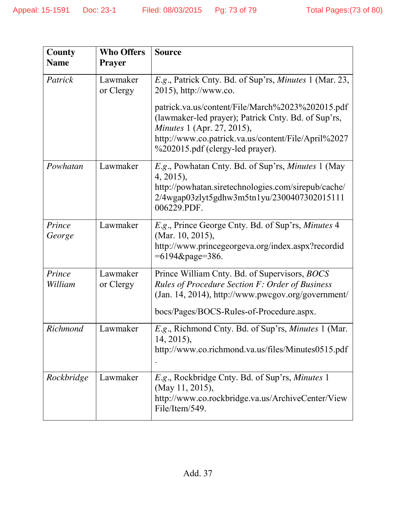| County<br><b>Name</b> | <b>Who Offers</b><br><b>Prayer</b> | <b>Source</b>                                                                                                                                                                                                                           |
|-----------------------|------------------------------------|-----------------------------------------------------------------------------------------------------------------------------------------------------------------------------------------------------------------------------------------|
| Patrick               | Lawmaker<br>or Clergy              | E.g., Patrick Cnty. Bd. of Sup'rs, Minutes 1 (Mar. 23,<br>2015), http://www.co.                                                                                                                                                         |
|                       |                                    | patrick.va.us/content/File/March%2023%202015.pdf<br>(lawmaker-led prayer); Patrick Cnty. Bd. of Sup'rs,<br><i>Minutes</i> 1 (Apr. 27, 2015),<br>http://www.co.patrick.va.us/content/File/April%2027<br>%202015.pdf (clergy-led prayer). |
| Powhatan              | Lawmaker                           | E.g., Powhatan Cnty. Bd. of Sup'rs, Minutes 1 (May<br>4, 2015),<br>http://powhatan.siretechnologies.com/sirepub/cache/<br>2/4wgap03zlyt5gdhw3m5tn1yu/2300407302015111<br>006229.PDF.                                                    |
| Prince<br>George      | Lawmaker                           | E.g., Prince George Cnty. Bd. of Sup'rs, Minutes 4<br>(Mar. 10, 2015),<br>http://www.princegeorgeva.org/index.aspx?recordid<br>$=6194\&page=386.$                                                                                       |
| Prince<br>William     | Lawmaker<br>or Clergy              | Prince William Cnty. Bd. of Supervisors, BOCS<br><b>Rules of Procedure Section F: Order of Business</b><br>(Jan. 14, 2014), http://www.pwcgov.org/government/<br>bocs/Pages/BOCS-Rules-of-Procedure.aspx.                               |
| Richmond              | Lawmaker                           | E.g., Richmond Cnty. Bd. of Sup'rs, Minutes 1 (Mar.<br>14, 2015),<br>http://www.co.richmond.va.us/files/Minutes0515.pdf                                                                                                                 |
| Rockbridge            | Lawmaker                           | E.g., Rockbridge Cnty. Bd. of Sup'rs, Minutes 1<br>(May 11, 2015),<br>http://www.co.rockbridge.va.us/ArchiveCenter/View<br>File/Item/549.                                                                                               |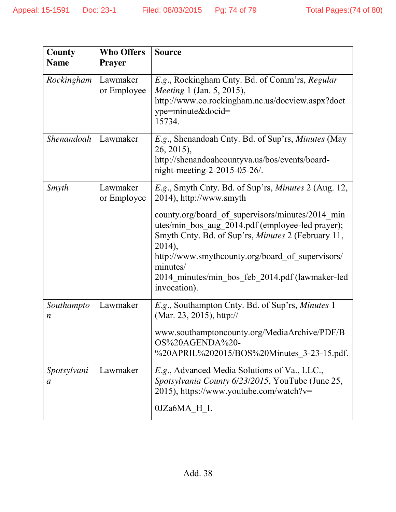| County<br><b>Name</b>           | <b>Who Offers</b><br><b>Prayer</b> | <b>Source</b>                                                                                                                                                                                                                                                                                                                                                                                     |
|---------------------------------|------------------------------------|---------------------------------------------------------------------------------------------------------------------------------------------------------------------------------------------------------------------------------------------------------------------------------------------------------------------------------------------------------------------------------------------------|
| Rockingham                      | Lawmaker<br>or Employee            | E.g., Rockingham Cnty. Bd. of Comm'rs, Regular<br><i>Meeting</i> 1 (Jan. 5, 2015),<br>http://www.co.rockingham.nc.us/docview.aspx?doct<br>ype=minute&docid=<br>15734.                                                                                                                                                                                                                             |
| Shenandoah                      | Lawmaker                           | E.g., Shenandoah Cnty. Bd. of Sup'rs, Minutes (May<br>26, 2015),<br>http://shenandoah.countyva.us/bos/events/board-<br>night-meeting-2-2015-05-26/.                                                                                                                                                                                                                                               |
| Smyth                           | Lawmaker<br>or Employee            | E.g., Smyth Cnty. Bd. of Sup'rs, Minutes 2 (Aug. 12,<br>2014), http://www.smyth<br>county.org/board of supervisors/minutes/2014 min<br>utes/min bos aug 2014.pdf (employee-led prayer);<br>Smyth Cnty. Bd. of Sup'rs, <i>Minutes</i> 2 (February 11,<br>2014),<br>http://www.smythcounty.org/board of supervisors/<br>minutes/<br>2014 minutes/min bos_feb_2014.pdf (lawmaker-led<br>invocation). |
| Southampto<br>$\boldsymbol{n}$  | Lawmaker                           | E.g., Southampton Cnty. Bd. of Sup'rs, Minutes 1<br>(Mar. 23, 2015), http://<br>www.southamptoncounty.org/MediaArchive/PDF/B<br>OS%20AGENDA%20-<br>%20APRIL%202015/BOS%20Minutes_3-23-15.pdf.                                                                                                                                                                                                     |
| Spotsylvani<br>$\boldsymbol{a}$ | Lawmaker                           | E.g., Advanced Media Solutions of Va., LLC.,<br>Spotsylvania County 6/23/2015, YouTube (June 25,<br>2015), https://www.youtube.com/watch?v=<br>0JZa6MA H I.                                                                                                                                                                                                                                       |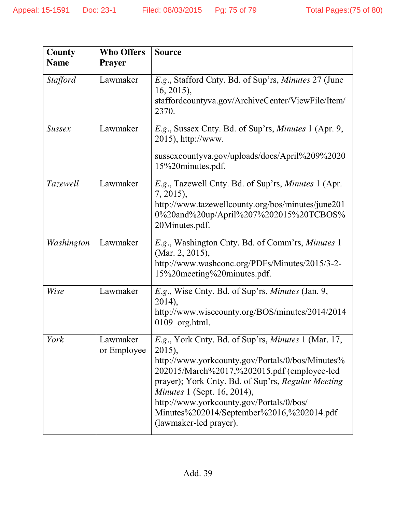| <b>County</b>   | <b>Who Offers</b>       | <b>Source</b>                                                                                                                                                                                                                                                                                                                                                                   |
|-----------------|-------------------------|---------------------------------------------------------------------------------------------------------------------------------------------------------------------------------------------------------------------------------------------------------------------------------------------------------------------------------------------------------------------------------|
| <b>Name</b>     | <b>Prayer</b>           |                                                                                                                                                                                                                                                                                                                                                                                 |
| <b>Stafford</b> | Lawmaker                | E.g., Stafford Cnty. Bd. of Sup'rs, Minutes 27 (June<br>$16, 2015$ ,<br>staffordcountyva.gov/ArchiveCenter/ViewFile/Item/<br>2370.                                                                                                                                                                                                                                              |
| <b>Sussex</b>   | Lawmaker                | E.g., Sussex Cnty. Bd. of Sup'rs, <i>Minutes</i> 1 (Apr. 9,<br>2015), http://www.<br>sussexcountyva.gov/uploads/docs/April%209%2020<br>15%20minutes.pdf.                                                                                                                                                                                                                        |
| Tazewell        | Lawmaker                | E.g., Tazewell Cnty. Bd. of Sup'rs, Minutes 1 (Apr.<br>7, 2015),<br>http://www.tazewellcounty.org/bos/minutes/june201<br>0%20and%20up/April%207%202015%20TCBOS%<br>20Minutes.pdf.                                                                                                                                                                                               |
| Washington      | Lawmaker                | E.g., Washington Cnty. Bd. of Comm'rs, Minutes 1<br>(Mar. 2, 2015),<br>http://www.washconc.org/PDFs/Minutes/2015/3-2-<br>15%20meeting%20minutes.pdf.                                                                                                                                                                                                                            |
| Wise            | Lawmaker                | <i>E.g.</i> , Wise Cnty. Bd. of Sup'rs, <i>Minutes</i> (Jan. 9,<br>$2014$ ),<br>http://www.wisecounty.org/BOS/minutes/2014/2014<br>$0109$ org.html.                                                                                                                                                                                                                             |
| York            | Lawmaker<br>or Employee | E.g., York Cnty. Bd. of Sup'rs, Minutes 1 (Mar. 17,<br>2015),<br>http://www.yorkcounty.gov/Portals/0/bos/Minutes%<br>202015/March%2017,%202015.pdf (employee-led<br>prayer); York Cnty. Bd. of Sup'rs, Regular Meeting<br><i>Minutes</i> 1 (Sept. 16, 2014),<br>http://www.yorkcounty.gov/Portals/0/bos/<br>Minutes%202014/September%2016,%202014.pdf<br>(lawmaker-led prayer). |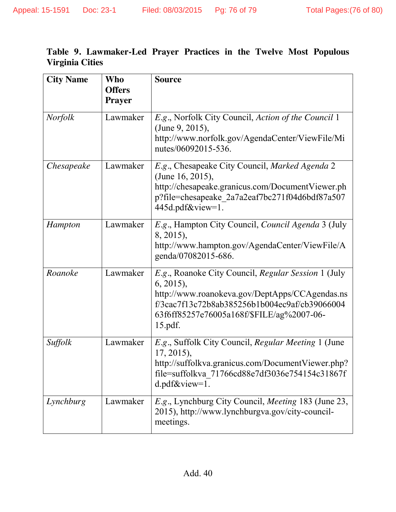| Table 9. Lawmaker-Led Prayer Practices in the Twelve Most Populous |  |  |  |  |
|--------------------------------------------------------------------|--|--|--|--|
| <b>Virginia Cities</b>                                             |  |  |  |  |

| <b>City Name</b> | Who<br><b>Offers</b><br><b>Prayer</b> | <b>Source</b>                                                                                                                                                                                                                    |
|------------------|---------------------------------------|----------------------------------------------------------------------------------------------------------------------------------------------------------------------------------------------------------------------------------|
| <b>Norfolk</b>   | Lawmaker                              | E.g., Norfolk City Council, Action of the Council 1<br>(June 9, 2015),<br>http://www.norfolk.gov/AgendaCenter/ViewFile/Mi<br>nutes/06092015-536.                                                                                 |
| Chesapeake       | Lawmaker                              | E.g., Chesapeake City Council, Marked Agenda 2<br>(June 16, 2015),<br>http://chesapeake.granicus.com/DocumentViewer.ph<br>p?file=chesapeake_2a7a2eaf7bc271f04d6bdf87a507<br>445d.pdf&view=1.                                     |
| Hampton          | Lawmaker                              | E.g., Hampton City Council, Council Agenda 3 (July<br>8, 2015),<br>http://www.hampton.gov/AgendaCenter/ViewFile/A<br>genda/07082015-686.                                                                                         |
| Roanoke          | Lawmaker                              | E.g., Roanoke City Council, Regular Session 1 (July<br>$6, 2015$ ,<br>http://www.roanokeva.gov/DeptApps/CCAgendas.ns<br>f/3cac7f13c72b8ab385256b1b004ec9af/cb39066004<br>63f6ff85257e76005a168f/\$FILE/ag%2007-06-<br>$15.pdf$ . |
| Suffolk          | Lawmaker                              | E.g., Suffolk City Council, Regular Meeting 1 (June<br>$17, 2015$ ,<br>http://suffolkva.granicus.com/DocumentViewer.php?<br>file=suffolkva 71766cd88e7df3036e754154c31867f<br>$d$ .pdf $\&$ view=1.                              |
| Lynchburg        | Lawmaker                              | <i>E.g.</i> , Lynchburg City Council, <i>Meeting</i> 183 (June 23,<br>2015), http://www.lynchburgva.gov/city-council-<br>meetings.                                                                                               |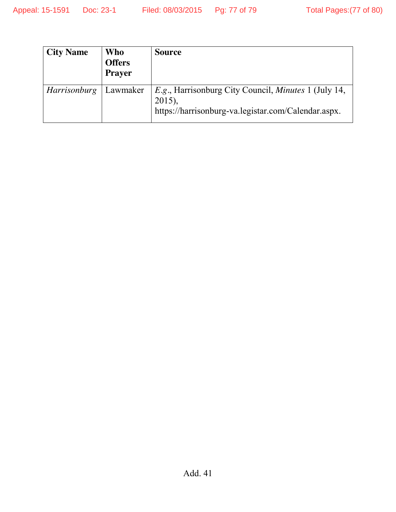| <b>City Name</b>    | <b>Who</b><br><b>Offers</b><br><b>Prayer</b> | <b>Source</b>                                                                                                                   |
|---------------------|----------------------------------------------|---------------------------------------------------------------------------------------------------------------------------------|
| <i>Harrisonburg</i> | Lawmaker                                     | E.g., Harrisonburg City Council, <i>Minutes</i> 1 (July 14,<br>$2015$ ),<br>https://harrisonburg-va.legistar.com/Calendar.aspx. |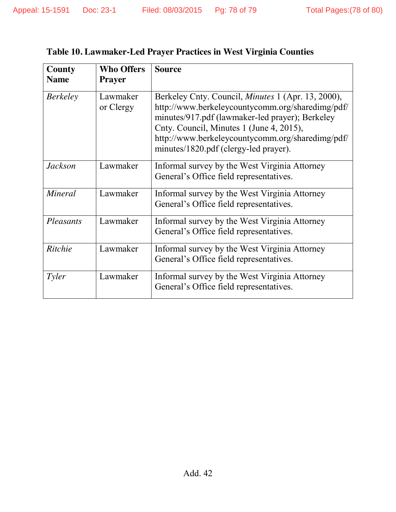| County<br><b>Name</b> | <b>Who Offers</b><br><b>Prayer</b> | <b>Source</b>                                                                                                                                                                                                                                                                                             |
|-----------------------|------------------------------------|-----------------------------------------------------------------------------------------------------------------------------------------------------------------------------------------------------------------------------------------------------------------------------------------------------------|
| <b>Berkeley</b>       | Lawmaker<br>or Clergy              | Berkeley Cnty. Council, <i>Minutes</i> 1 (Apr. 13, 2000),<br>http://www.berkeleycountycomm.org/sharedimg/pdf/<br>minutes/917.pdf (lawmaker-led prayer); Berkeley<br>Cnty. Council, Minutes 1 (June 4, 2015),<br>http://www.berkeleycountycomm.org/sharedimg/pdf/<br>minutes/1820.pdf (clergy-led prayer). |
| <b>Jackson</b>        | Lawmaker                           | Informal survey by the West Virginia Attorney<br>General's Office field representatives.                                                                                                                                                                                                                  |
| <b>Mineral</b>        | Lawmaker                           | Informal survey by the West Virginia Attorney<br>General's Office field representatives.                                                                                                                                                                                                                  |
| Pleasants             | Lawmaker                           | Informal survey by the West Virginia Attorney<br>General's Office field representatives.                                                                                                                                                                                                                  |
| Ritchie               | Lawmaker                           | Informal survey by the West Virginia Attorney<br>General's Office field representatives.                                                                                                                                                                                                                  |
| Tyler                 | Lawmaker                           | Informal survey by the West Virginia Attorney<br>General's Office field representatives.                                                                                                                                                                                                                  |

## **Table 10. Lawmaker-Led Prayer Practices in West Virginia Counties**